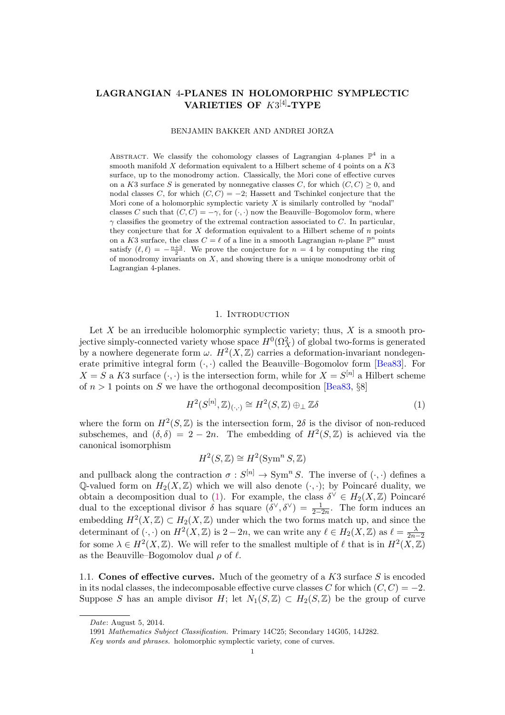# LAGRANGIAN 4-PLANES IN HOLOMORPHIC SYMPLECTIC VARIETIES OF  $K3^{[4]}$ -TYPE

### BENJAMIN BAKKER AND ANDREI JORZA

ABSTRACT. We classify the cohomology classes of Lagrangian 4-planes  $\mathbb{P}^4$  in a smooth manifold  $X$  deformation equivalent to a Hilbert scheme of 4 points on a  $K3$ surface, up to the monodromy action. Classically, the Mori cone of effective curves on a K3 surface S is generated by nonnegative classes C, for which  $(C, C) \geq 0$ , and nodal classes C, for which  $(C, C) = -2$ ; Hassett and Tschinkel conjecture that the Mori cone of a holomorphic symplectic variety  $X$  is similarly controlled by "nodal" classes C such that  $(C, C) = -\gamma$ , for  $(\cdot, \cdot)$  now the Beauville–Bogomolov form, where  $\gamma$  classifies the geometry of the extremal contraction associated to C. In particular, they conjecture that for  $X$  deformation equivalent to a Hilbert scheme of  $n$  points on a K3 surface, the class  $C = \ell$  of a line in a smooth Lagrangian n-plane  $\mathbb{P}^n$  must satisfy  $(\ell, \ell) = -\frac{n+3}{2}$ . We prove the conjecture for  $n = 4$  by computing the ring of monodromy invariants on  $X$ , and showing there is a unique monodromy orbit of Lagrangian 4-planes.

### 1. INTRODUCTION

Let  $X$  be an irreducible holomorphic symplectic variety; thus,  $X$  is a smooth projective simply-connected variety whose space  $H^0(\Omega_X^2)$  of global two-forms is generated by a nowhere degenerate form  $\omega$ .  $H^2(X,\mathbb{Z})$  carries a deformation-invariant nondegenerate primitive integral form  $(\cdot, \cdot)$  called the Beauville–Bogomolov form [\[Bea83\]](#page-22-0). For  $X = S$  a K3 surface  $(\cdot, \cdot)$  is the intersection form, while for  $X = S^{[n]}$  a Hilbert scheme of  $n > 1$  points on S we have the orthogonal decomposition [\[Bea83,](#page-22-0) §8]

<span id="page-0-0"></span>
$$
H^2(S^{[n]}, \mathbb{Z})_{(\cdot, \cdot)} \cong H^2(S, \mathbb{Z}) \oplus_{\perp} \mathbb{Z}\delta \tag{1}
$$

where the form on  $H^2(S, \mathbb{Z})$  is the intersection form,  $2\delta$  is the divisor of non-reduced subschemes, and  $(\delta, \delta) = 2 - 2n$ . The embedding of  $H^2(S, \mathbb{Z})$  is achieved via the canonical isomorphism

$$
H^2(S, \mathbb{Z}) \cong H^2(\operatorname{Sym}^n S, \mathbb{Z})
$$

and pullback along the contraction  $\sigma : S^{[n]} \to \text{Sym}^n S$ . The inverse of  $(\cdot, \cdot)$  defines a Q-valued form on  $H_2(X,\mathbb{Z})$  which we will also denote  $(\cdot,\cdot)$ ; by Poincaré duality, we obtain a decomposition dual to [\(1\)](#page-0-0). For example, the class  $\delta^{\vee} \in H_2(X, \mathbb{Z})$  Poincaré dual to the exceptional divisor  $\delta$  has square  $(\delta^{\vee}, \delta^{\vee}) = \frac{1}{2-2n}$ . The form induces an embedding  $H^2(X,\mathbb{Z}) \subset H_2(X,\mathbb{Z})$  under which the two forms match up, and since the determinant of  $(\cdot, \cdot)$  on  $H^2(X, \mathbb{Z})$  is  $2 - 2n$ , we can write any  $\ell \in H_2(X, \mathbb{Z})$  as  $\ell = \frac{\lambda}{2n-2}$ for some  $\lambda \in H^2(X,\mathbb{Z})$ . We will refer to the smallest multiple of  $\ell$  that is in  $H^2(X,\mathbb{Z})$ as the Beauville–Bogomolov dual  $\rho$  of  $\ell$ .

1.1. Cones of effective curves. Much of the geometry of a K3 surface S is encoded in its nodal classes, the indecomposable effective curve classes C for which  $(C, C) = -2$ . Suppose S has an ample divisor H; let  $N_1(S, \mathbb{Z}) \subset H_2(S, \mathbb{Z})$  be the group of curve

Date: August 5, 2014.

<sup>1991</sup> Mathematics Subject Classification. Primary 14C25; Secondary 14G05, 14J282.

Key words and phrases. holomorphic symplectic variety, cone of curves.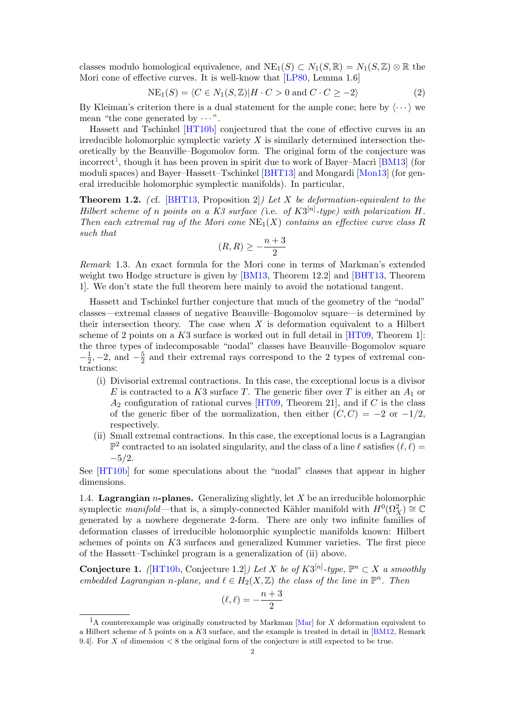classes modulo homological equivalence, and  $NE_1(S) \subset N_1(S, \mathbb{R}) = N_1(S, \mathbb{Z}) \otimes \mathbb{R}$  the Mori cone of effective curves. It is well-know that [\[LP80,](#page-22-1) Lemma 1.6]

$$
NE_1(S) = \langle C \in N_1(S, \mathbb{Z}) | H \cdot C > 0 \text{ and } C \cdot C \ge -2 \rangle \tag{2}
$$

By Kleiman's criterion there is a dual statement for the ample cone; here by  $\langle \cdots \rangle$  we mean "the cone generated by  $\cdots$ ".

Hassett and Tschinkel [\[HT10b\]](#page-22-2) conjectured that the cone of effective curves in an irreducible holomorphic symplectic variety  $X$  is similarly determined intersection theoretically by the Beauville–Bogomolov form. The original form of the conjecture was incorrect<sup>[1](#page-1-0)</sup>, though it has been proven in spirit due to work of Bayer–Macri [\[BM13\]](#page-22-3) (for moduli spaces) and Bayer–Hassett–Tschinkel [\[BHT13\]](#page-22-4) and Mongardi [\[Mon13\]](#page-22-5) (for general irreducible holomorphic symplectic manifolds). In particular,

<span id="page-1-1"></span>**Theorem 1.2.** (cf. [\[BHT13,](#page-22-4) Proposition 2]) Let X be deformation-equivalent to the Hilbert scheme of n points on a K3 surface (i.e. of  $K3^{[n]}$ -type) with polarization H. Then each extremal ray of the Mori cone  $NE<sub>1</sub>(X)$  contains an effective curve class R such that

$$
(R,R)\geq -\frac{n+3}{2}
$$

Remark 1.3. An exact formula for the Mori cone in terms of Markman's extended weight two Hodge structure is given by [\[BM13,](#page-22-3) Theorem 12.2] and [\[BHT13,](#page-22-4) Theorem 1]. We don't state the full theorem here mainly to avoid the notational tangent.

Hassett and Tschinkel further conjecture that much of the geometry of the "nodal" classes—extremal classes of negative Beauville–Bogomolov square—is determined by their intersection theory. The case when  $X$  is deformation equivalent to a Hilbert scheme of 2 points on a  $K3$  surface is worked out in full detail in  $[HT09,$  Theorem 1. the three types of indecomposable "nodal" classes have Beauville–Bogomolov square  $-\frac{1}{2}$  $\frac{1}{2}$ , -2, and  $-\frac{5}{2}$  $\frac{5}{2}$  and their extremal rays correspond to the 2 types of extremal contractions:

- (i) Divisorial extremal contractions. In this case, the exceptional locus is a divisor E is contracted to a K3 surface T. The generic fiber over T is either an  $A_1$  or  $A_2$  configuration of rational curves [\[HT09,](#page-22-6) Theorem 21], and if C is the class of the generic fiber of the normalization, then either  $(C, C) = -2$  or  $-1/2$ , respectively.
- (ii) Small extremal contractions. In this case, the exceptional locus is a Lagrangian  $\mathbb{P}^2$  contracted to an isolated singularity, and the class of a line  $\ell$  satisfies  $(\ell, \ell)$  =  $-5/2.$

See [\[HT10b\]](#page-22-2) for some speculations about the "nodal" classes that appear in higher dimensions.

1.4. Lagrangian *n*-planes. Generalizing slightly, let  $X$  be an irreducible holomorphic symplectic manifold—that is, a simply-connected Kähler manifold with  $H^0(\Omega_X^2) \cong \mathbb{C}$ generated by a nowhere degenerate 2-form. There are only two infinite families of deformation classes of irreducible holomorphic symplectic manifolds known: Hilbert schemes of points on K3 surfaces and generalized Kummer varieties. The first piece of the Hassett–Tschinkel program is a generalization of (ii) above.

<span id="page-1-2"></span>**Conjecture 1.** (HT10b, Conjecture 1.2) Let X be of  $K3^{[n]}$ -type,  $\mathbb{P}^n \subset X$  a smoothly embedded Lagrangian n-plane, and  $\ell \in H_2(X,\mathbb{Z})$  the class of the line in  $\mathbb{P}^n$ . Then

$$
(\ell,\ell)=-\frac{n+3}{2}
$$

<span id="page-1-0"></span><sup>&</sup>lt;sup>1</sup>A counterexample was originally constructed by Markman [\[Mar\]](#page-22-7) for X deformation equivalent to a Hilbert scheme of 5 points on a K3 surface, and the example is treated in detail in [\[BM12,](#page-22-8) Remark 9.4]. For X of dimension  $\lt 8$  the original form of the conjecture is still expected to be true.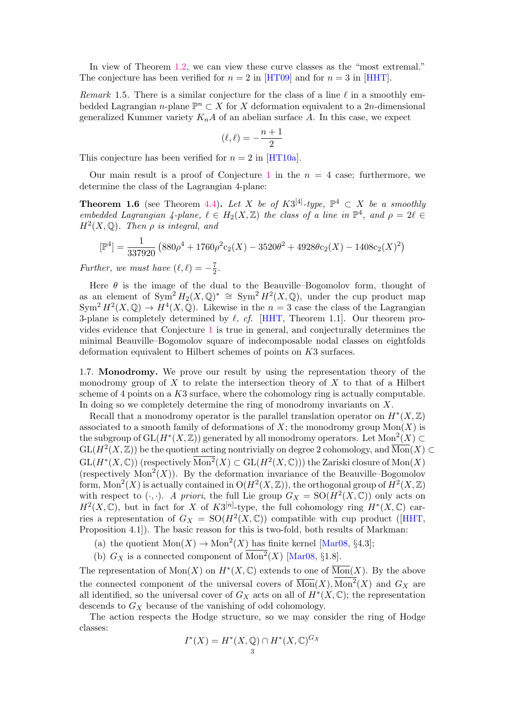In view of Theorem [1.2,](#page-1-1) we can view these curve classes as the "most extremal." The conjecture has been verified for  $n = 2$  in [\[HT09\]](#page-22-6) and for  $n = 3$  in [\[HHT\]](#page-22-9).

Remark 1.5. There is a similar conjecture for the class of a line  $\ell$  in a smoothly embedded Lagrangian n-plane  $\mathbb{P}^n \subset X$  for X deformation equivalent to a 2n-dimensional generalized Kummer variety  $K_nA$  of an abelian surface A. In this case, we expect

$$
(\ell,\ell)=-\frac{n+1}{2}
$$

This conjecture has been verified for  $n = 2$  in [\[HT10a\]](#page-22-10).

Our main result is a proof of Conjecture [1](#page-1-2) in the  $n = 4$  case; furthermore, we determine the class of the Lagrangian 4-plane:

**Theorem 1.6** (see Theorem [4.4\)](#page-15-0). Let X be of  $K3^{[4]}$ -type,  $\mathbb{P}^4 \subset X$  be a smoothly embedded Lagrangian 4-plane,  $\ell \in H_2(X, \mathbb{Z})$  the class of a line in  $\mathbb{P}^4$ , and  $\rho = 2\ell \in$  $H<sup>2</sup>(X, \mathbb{Q})$ . Then  $\rho$  is integral, and

$$
[\mathbb{P}^4] = \frac{1}{337920} \left( 880 \rho^4 + 1760 \rho^2 c_2(X) - 3520 \theta^2 + 4928 \theta c_2(X) - 1408 c_2(X)^2 \right)
$$

Further, we must have  $(\ell, \ell) = -\frac{7}{2}$  $\frac{7}{2}$ .

Here  $\theta$  is the image of the dual to the Beauville–Bogomolov form, thought of as an element of  $Sym^2 H_2(X,\mathbb{Q})^* \cong Sym^2 H^2(X,\mathbb{Q})$ , under the cup product map  $\text{Sym}^2 H^2(X,\mathbb{Q}) \to H^4(X,\mathbb{Q})$ . Likewise in the  $n=3$  case the class of the Lagrangian 3-plane is completely determined by  $\ell$ , cf. [\[HHT,](#page-22-9) Theorem 1.1]. Our theorem provides evidence that Conjecture [1](#page-1-2) is true in general, and conjecturally determines the minimal Beauville–Bogomolov square of indecomposable nodal classes on eightfolds deformation equivalent to Hilbert schemes of points on K3 surfaces.

1.7. Monodromy. We prove our result by using the representation theory of the monodromy group of X to relate the intersection theory of X to that of a Hilbert scheme of 4 points on a K3 surface, where the cohomology ring is actually computable. In doing so we completely determine the ring of monodromy invariants on X.

Recall that a monodromy operator is the parallel translation operator on  $H^*(X,\mathbb{Z})$ associated to a smooth family of deformations of  $X$ ; the monodromy group  $Mon(X)$  is the subgroup of  $GL(H^*(X,\mathbb{Z}))$  generated by all monodromy operators. Let  $Mon^2(X) \subset$  $GL(H^2(X,\mathbb{Z}))$  be the quotient acting nontrivially on degree 2 cohomology, and  $\overline{\mathrm{Mon}}(X) \subset$  $\mathrm{GL}(H^*(X,\mathbb{C}))$  (respectively  $\overline{\mathrm{Mon}^2}(X)\subset \mathrm{GL}(H^2(X,\mathbb{C}))$ ) the Zariski closure of  $\mathrm{Mon}(X)$ (respectively  $Mon<sup>2</sup>(X)$ ). By the deformation invariance of the Beauville–Bogomolov form,  $Mon^2(X)$  is actually contained in  $O(H^2(X,\mathbb{Z}))$ , the orthogonal group of  $H^2(X,\mathbb{Z})$ with respect to  $(\cdot, \cdot)$ . A priori, the full Lie group  $G_X = SO(H^2(X, \mathbb{C}))$  only acts on  $H^2(X,\mathbb{C})$ , but in fact for X of  $K3^{[n]}$ -type, the full cohomology ring  $H^*(X,\mathbb{C})$  carries a representation of  $G_X = SO(H^2(X, \mathbb{C}))$  compatible with cup product ([\[HHT,](#page-22-9) Proposition 4.1]). The basic reason for this is two-fold, both results of Markman:

- (a) the quotient  $Mon(X) \to Mon^2(X)$  has finite kernel [\[Mar08,](#page-22-11) §4.3];
- (b)  $G_X$  is a connected component of  $Mon^2(X)$  [\[Mar08,](#page-22-11) §1.8].

The representation of  $Mon(X)$  on  $H^*(X,\mathbb{C})$  extends to one of  $\overline{Mon}(X)$ . By the above the connected component of the universal covers of  $\overline{\mathrm{Mon}}(X)$ ,  $\mathrm{Mon}^2(X)$  and  $G_X$  are all identified, so the universal cover of  $G_X$  acts on all of  $H^*(X,\mathbb{C})$ ; the representation descends to  $G_X$  because of the vanishing of odd cohomology.

The action respects the Hodge structure, so we may consider the ring of Hodge classes:

$$
I^*(X) = H^*(X, \mathbb{Q}) \cap H^*(X, \mathbb{C})^{G_X}
$$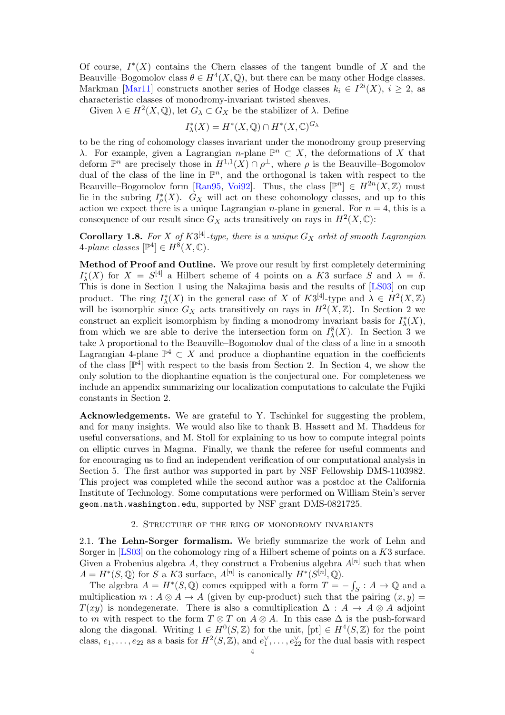Of course,  $I^*(X)$  contains the Chern classes of the tangent bundle of X and the Beauville–Bogomolov class  $\theta \in H^4(X, \mathbb{Q})$ , but there can be many other Hodge classes. Markman [\[Mar11\]](#page-22-12) constructs another series of Hodge classes  $k_i \in I^{2i}(X), i \geq 2$ , as characteristic classes of monodromy-invariant twisted sheaves.

Given  $\lambda \in H^2(X, \mathbb{Q})$ , let  $G_{\lambda} \subset G_X$  be the stabilizer of  $\lambda$ . Define

$$
I^*_{\lambda}(X) = H^*(X, \mathbb{Q}) \cap H^*(X, \mathbb{C})^{G_{\lambda}}
$$

to be the ring of cohomology classes invariant under the monodromy group preserving λ. For example, given a Lagrangian *n*-plane  $\mathbb{P}^n$  ⊂ X, the deformations of X that deform  $\mathbb{P}^n$  are precisely those in  $H^{1,1}(X) \cap \rho^{\perp}$ , where  $\rho$  is the Beauville–Bogomolov dual of the class of the line in  $\mathbb{P}^n$ , and the orthogonal is taken with respect to the Beauville–Bogomolov form [\[Ran95,](#page-22-13) [Voi92\]](#page-23-0). Thus, the class  $[\mathbb{P}^n] \in H^{2n}(X,\mathbb{Z})$  must lie in the subring  $I_{\rho}^*(X)$ .  $G_X$  will act on these cohomology classes, and up to this action we expect there is a unique Lagrangian *n*-plane in general. For  $n = 4$ , this is a consequence of our result since  $G_X$  acts transitively on rays in  $H^2(X,\mathbb{C})$ :

**Corollary 1.8.** For X of  $K3^{[4]}$ -type, there is a unique  $G_X$  orbit of smooth Lagrangian 4-plane classes  $[\mathbb{P}^4] \in H^8(X, \mathbb{C})$ .

Method of Proof and Outline. We prove our result by first completely determining  $I_{\lambda}^{*}(X)$  for  $X = S^{[4]}$  a Hilbert scheme of 4 points on a K3 surface S and  $\lambda = \delta$ . This is done in Section 1 using the Nakajima basis and the results of [\[LS03\]](#page-22-14) on cup product. The ring  $I^*_{\lambda}(X)$  in the general case of X of  $K3^{[4]}$ -type and  $\lambda \in H^2(X,\mathbb{Z})$ will be isomorphic since  $G_X$  acts transitively on rays in  $H^2(X,\mathbb{Z})$ . In Section 2 we construct an explicit isomorphism by finding a monodromy invariant basis for  $I^*_{\lambda}(X)$ , from which we are able to derive the intersection form on  $I^8_\lambda(X)$ . In Section 3 we take  $\lambda$  proportional to the Beauville–Bogomolov dual of the class of a line in a smooth Lagrangian 4-plane  $\mathbb{P}^4 \subset X$  and produce a diophantine equation in the coefficients of the class  $[\mathbb{P}^4]$  with respect to the basis from Section 2. In Section 4, we show the only solution to the diophantine equation is the conjectural one. For completeness we include an appendix summarizing our localization computations to calculate the Fujiki constants in Section 2.

Acknowledgements. We are grateful to Y. Tschinkel for suggesting the problem, and for many insights. We would also like to thank B. Hassett and M. Thaddeus for useful conversations, and M. Stoll for explaining to us how to compute integral points on elliptic curves in Magma. Finally, we thank the referee for useful comments and for encouraging us to find an independent verification of our computational analysis in Section 5. The first author was supported in part by NSF Fellowship DMS-1103982. This project was completed while the second author was a postdoc at the California Institute of Technology. Some computations were performed on William Stein's server geom.math.washington.edu, supported by NSF grant DMS-0821725.

## 2. Structure of the ring of monodromy invariants

2.1. The Lehn-Sorger formalism. We briefly summarize the work of Lehn and Sorger in [\[LS03\]](#page-22-14) on the cohomology ring of a Hilbert scheme of points on a K3 surface. Given a Frobenius algebra A, they construct a Frobenius algebra  $A^{[n]}$  such that when  $A = H^*(S, \mathbb{Q})$  for S a K3 surface,  $A^{[n]}$  is canonically  $H^*(S^{[n]}, \mathbb{Q})$ .

The algebra  $A = H^*(S, \mathbb{Q})$  comes equipped with a form  $T = -\int_S : A \to \mathbb{Q}$  and a multiplication  $m : A \otimes A \rightarrow A$  (given by cup-product) such that the pairing  $(x, y) =$  $T(xy)$  is nondegenerate. There is also a comultiplication  $\Delta: A \rightarrow A \otimes A$  adjoint to m with respect to the form  $T \otimes T$  on  $A \otimes A$ . In this case  $\Delta$  is the push-forward along the diagonal. Writing  $1 \in H^0(S, \mathbb{Z})$  for the unit,  $[pt] \in H^4(S, \mathbb{Z})$  for the point class,  $e_1, \ldots, e_{22}$  as a basis for  $H^2(S, \mathbb{Z})$ , and  $e_1^{\vee}, \ldots, e_{22}^{\vee}$  for the dual basis with respect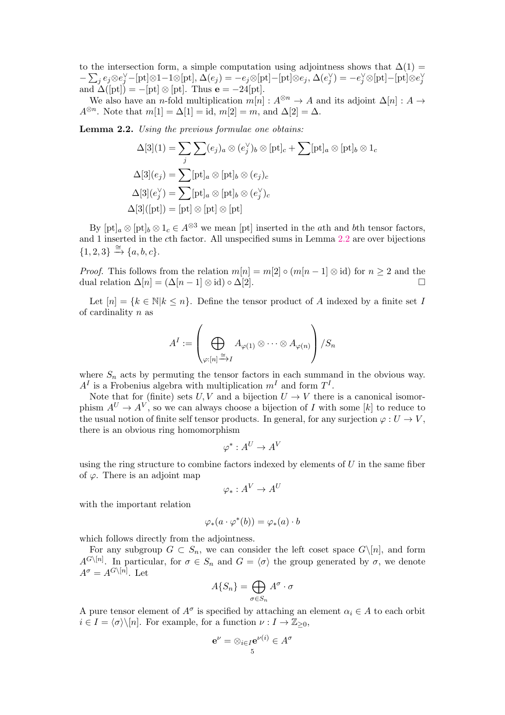to the intersection form, a simple computation using adjointness shows that  $\Delta(1)$  =  $-\sum_j e_j \otimes e_j^{\vee} - [\text{pt}] \otimes 1 - 1 \otimes [\text{pt}], \Delta(e_j) = -e_j \otimes [\text{pt}] - [\text{pt}] \otimes e_j, \Delta(e_j^{\vee}) = -e_j^{\vee} \otimes [\text{pt}] - [\text{pt}] \otimes e_j^{\vee}$ and  $\Delta([pt]) = -[pt] \otimes [pt]$ . Thus  $e = -24[pt]$ .

We also have an *n*-fold multiplication  $m[n] : A^{\otimes n} \to A$  and its adjoint  $\Delta[n] : A \to$  $A^{\otimes n}$ . Note that  $m[1] = \Delta[1] = \text{id}, m[2] = m$ , and  $\Delta[2] = \Delta$ .

<span id="page-4-0"></span>Lemma 2.2. Using the previous formulae one obtains:

$$
\Delta[3](1) = \sum_{j} \sum_{j} (e_j)_a \otimes (e_j^{\vee})_b \otimes [\text{pt}]_c + \sum [\text{pt}]_a \otimes [\text{pt}]_b \otimes 1_c
$$

$$
\Delta[3](e_j) = \sum [\text{pt}]_a \otimes [\text{pt}]_b \otimes (e_j)_c
$$

$$
\Delta[3](e_j^{\vee}) = \sum [\text{pt}]_a \otimes [\text{pt}]_b \otimes (e_j^{\vee})_c
$$

$$
\Delta[3]([\text{pt}]) = [\text{pt}] \otimes [\text{pt}] \otimes [\text{pt}]
$$

By  $[pt]_a \otimes [pt]_b \otimes 1_c \in A^{\otimes 3}$  we mean  $[pt]$  inserted in the ath and bth tensor factors, and 1 inserted in the cth factor. All unspecified sums in Lemma [2.2](#page-4-0) are over bijections  $\{1,2,3\} \stackrel{\cong}{\rightarrow} \{a,b,c\}.$ 

*Proof.* This follows from the relation  $m[n] = m[2] \circ (m[n-1] \otimes id)$  for  $n \geq 2$  and the dual relation  $\Delta[n] = (\Delta[n-1] \otimes id) \circ \Delta[2]$ .

Let  $[n] = \{k \in \mathbb{N} | k \leq n\}$ . Define the tensor product of A indexed by a finite set I of cardinality n as

$$
A^I:=\left(\bigoplus_{\varphi:[n]\xrightarrow{\cong} I} A_{\varphi(1)}\otimes\cdots\otimes A_{\varphi(n)}\right)/S_n
$$

where  $S_n$  acts by permuting the tensor factors in each summand in the obvious way.  $A<sup>I</sup>$  is a Frobenius algebra with multiplication  $m<sup>I</sup>$  and form  $T<sup>I</sup>$ .

Note that for (finite) sets U, V and a bijection  $U \to V$  there is a canonical isomorphism  $A^U \to A^V$ , so we can always choose a bijection of I with some [k] to reduce to the usual notion of finite self tensor products. In general, for any surjection  $\varphi: U \to V$ , there is an obvious ring homomorphism

$$
\varphi^* : A^U \to A^V
$$

using the ring structure to combine factors indexed by elements of  $U$  in the same fiber of  $\varphi$ . There is an adjoint map

$$
\varphi_*: A^V \to A^U
$$

with the important relation

$$
\varphi_*(a \cdot \varphi^*(b)) = \varphi_*(a) \cdot b
$$

which follows directly from the adjointness.

For any subgroup  $G \subset S_n$ , we can consider the left coset space  $G\backslash [n]$ , and form  $A^{G\setminus [n]}$ . In particular, for  $\sigma \in S_n$  and  $G = \langle \sigma \rangle$  the group generated by  $\sigma$ , we denote  $A^{\sigma} = A^{G \setminus [n]}$ . Let

$$
A\{S_n\} = \bigoplus_{\sigma \in S_n} A^{\sigma} \cdot \sigma
$$

A pure tensor element of  $A^{\sigma}$  is specified by attaching an element  $\alpha_i \in A$  to each orbit  $i \in I = \langle \sigma \rangle \backslash [n]$ . For example, for a function  $\nu : I \to \mathbb{Z}_{\geq 0}$ ,

$$
\mathbf{e}^{\nu} = \otimes_{i \in I} \mathbf{e}^{\nu(i)} \in A^{\sigma}
$$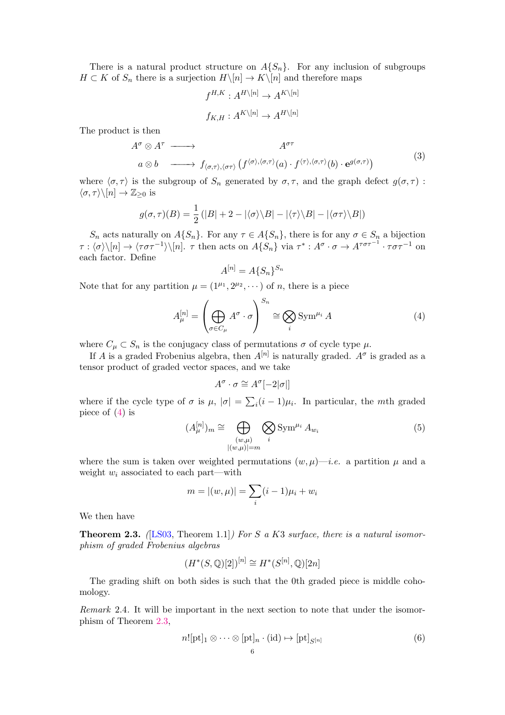There is a natural product structure on  $A\{S_n\}$ . For any inclusion of subgroups  $H \subset K$  of  $S_n$  there is a surjection  $H \setminus [n] \to K \setminus [n]$  and therefore maps

$$
f^{H,K}: A^{H\setminus [n]} \to A^{K\setminus [n]}
$$

$$
f_{K,H}: A^{K\setminus [n]} \to A^{H\setminus [n]}
$$

The product is then

<span id="page-5-3"></span>
$$
A^{\sigma} \otimes A^{\tau} \longrightarrow A^{\sigma\tau}
$$
  
\n
$$
a \otimes b \longrightarrow f_{\langle \sigma,\tau \rangle,\langle \sigma\tau \rangle} (f^{\langle \sigma \rangle,\langle \sigma,\tau \rangle}(a) \cdot f^{\langle \tau \rangle,\langle \sigma,\tau \rangle}(b) \cdot e^{g(\sigma,\tau)})
$$
\n(3)

where  $\langle \sigma, \tau \rangle$  is the subgroup of  $S_n$  generated by  $\sigma, \tau$ , and the graph defect  $g(\sigma, \tau)$ :  $\langle \sigma, \tau \rangle \backslash [n] \rightarrow \mathbb{Z}_{\geq 0}$  is

$$
g(\sigma, \tau)(B) = \frac{1}{2} (|B| + 2 - |\langle \sigma \rangle \backslash B| - |\langle \tau \rangle \backslash B| - |\langle \sigma \tau \rangle \backslash B|)
$$

 $S_n$  acts naturally on  $A\{S_n\}$ . For any  $\tau \in A\{S_n\}$ , there is for any  $\sigma \in S_n$  a bijection  $\tau: \langle \sigma \rangle \backslash [n] \to \langle \tau \sigma \tau^{-1} \rangle \backslash [n]$ .  $\tau$  then acts on  $A\{S_n\}$  via  $\tau^*: A^{\sigma} \cdot \sigma \to A^{\tau \sigma \tau^{-1}} \cdot \tau \sigma \tau^{-1}$  on each factor. Define

$$
A^{[n]} = A\{S_n\}^{S_n}
$$

Note that for any partition  $\mu = (1^{\mu_1}, 2^{\mu_2}, \dots)$  of *n*, there is a piece

<span id="page-5-0"></span>
$$
A_{\mu}^{[n]} = \left(\bigoplus_{\sigma \in C_{\mu}} A^{\sigma} \cdot \sigma\right)^{S_n} \cong \bigotimes_{i} \text{Sym}^{\mu_i} A \tag{4}
$$

where  $C_{\mu} \subset S_n$  is the conjugacy class of permutations  $\sigma$  of cycle type  $\mu$ .

If A is a graded Frobenius algebra, then  $A^{[n]}$  is naturally graded.  $A^{\sigma}$  is graded as a tensor product of graded vector spaces, and we take

$$
A^{\sigma} \cdot \sigma \cong A^{\sigma}[-2|\sigma|]
$$

where if the cycle type of  $\sigma$  is  $\mu$ ,  $|\sigma| = \sum_i (i-1)\mu_i$ . In particular, the mth graded piece of [\(4\)](#page-5-0) is

<span id="page-5-2"></span>
$$
(A_{\mu}^{[n]})_m \cong \bigoplus_{\substack{(w,\mu) \\ |(w,\mu)| = m}} \bigotimes_{i} \text{Sym}^{\mu_i} A_{w_i}
$$
(5)

where the sum is taken over weighted permutations  $(w, \mu)$ —*i.e.* a partition  $\mu$  and a weight  $w_i$  associated to each part—with

$$
m = |(w, \mu)| = \sum_{i} (i - 1)\mu_i + w_i
$$

We then have

<span id="page-5-1"></span>**Theorem 2.3.** ([\[LS03,](#page-22-14) Theorem 1.1]) For S a K3 surface, there is a natural isomorphism of graded Frobenius algebras

$$
(H^*(S, \mathbb{Q})[2])^{[n]} \cong H^*(S^{[n]}, \mathbb{Q})[2n]
$$

The grading shift on both sides is such that the 0th graded piece is middle cohomology.

Remark 2.4. It will be important in the next section to note that under the isomorphism of Theorem [2.3,](#page-5-1)

<span id="page-5-4"></span>
$$
n![\text{pt}]_1 \otimes \cdots \otimes [\text{pt}]_n \cdot (\text{id}) \mapsto [\text{pt}]_{S^{[n]}} \tag{6}
$$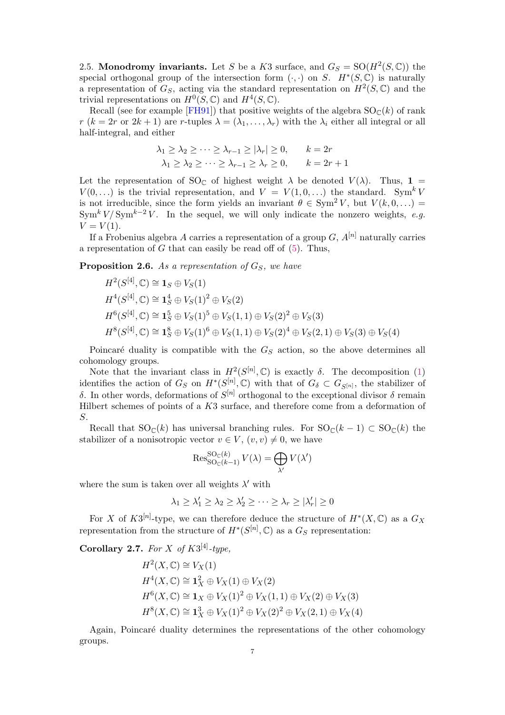2.5. Monodromy invariants. Let S be a K3 surface, and  $G_S = SO(H^2(S, \mathbb{C}))$  the special orthogonal group of the intersection form  $(.,.)$  on S.  $H^*(S,\mathbb{C})$  is naturally a representation of  $G_S$ , acting via the standard representation on  $H^2(S, \mathbb{C})$  and the trivial representations on  $H^0(S, \mathbb{C})$  and  $H^4(S, \mathbb{C})$ .

Recall (see for example [\[FH91\]](#page-22-15)) that positive weights of the algebra  $SO_{\mathbb{C}}(k)$  of rank  $r (k = 2r \text{ or } 2k + 1)$  are r-tuples  $\lambda = (\lambda_1, \ldots, \lambda_r)$  with the  $\lambda_i$  either all integral or all half-integral, and either

$$
\lambda_1 \ge \lambda_2 \ge \dots \ge \lambda_{r-1} \ge |\lambda_r| \ge 0, \qquad k = 2r
$$
  

$$
\lambda_1 \ge \lambda_2 \ge \dots \ge \lambda_{r-1} \ge \lambda_r \ge 0, \qquad k = 2r + 1
$$

Let the representation of SO<sub>C</sub> of highest weight  $\lambda$  be denoted  $V(\lambda)$ . Thus, 1 =  $V(0,\ldots)$  is the trivial representation, and  $V = V(1,0,\ldots)$  the standard. Sym<sup>k</sup>V is not irreducible, since the form yields an invariant  $\theta \in \text{Sym}^2 V$ , but  $V(k, 0, ...)$ Sym<sup>k</sup> V/Sym<sup>k-2</sup> V. In the sequel, we will only indicate the nonzero weights, e.g.  $V = V(1)$ .

If a Frobenius algebra A carries a representation of a group  $G$ ,  $A^{[n]}$  naturally carries a representation of  $G$  that can easily be read off of  $(5)$ . Thus,

**Proposition 2.6.** As a representation of  $G<sub>S</sub>$ , we have

$$
H^2(S^{[4]},{\mathbb C}) \cong \mathbf{1}_S \oplus V_S(1)
$$
  
\n
$$
H^4(S^{[4]},{\mathbb C}) \cong \mathbf{1}_S^4 \oplus V_S(1)^2 \oplus V_S(2)
$$
  
\n
$$
H^6(S^{[4]},{\mathbb C}) \cong \mathbf{1}_S^5 \oplus V_S(1)^5 \oplus V_S(1,1) \oplus V_S(2)^2 \oplus V_S(3)
$$
  
\n
$$
H^8(S^{[4]},{\mathbb C}) \cong \mathbf{1}_S^8 \oplus V_S(1)^6 \oplus V_S(1,1) \oplus V_S(2)^4 \oplus V_S(2,1) \oplus V_S(3) \oplus V_S(4)
$$

Poincaré duality is compatible with the  $G<sub>S</sub>$  action, so the above determines all cohomology groups.

Note that the invariant class in  $H^2(S^{[n]}, \mathbb{C})$  is exactly  $\delta$ . The decomposition [\(1\)](#page-0-0) identifies the action of  $G_S$  on  $H^*(S^{[n]}, \mathbb{C})$  with that of  $G_{\delta} \subset G_{S^{[n]}}$ , the stabilizer of δ. In other words, deformations of  $S<sup>[n]</sup>$  orthogonal to the exceptional divisor δ remain Hilbert schemes of points of a K3 surface, and therefore come from a deformation of S.

Recall that  $SO_{\mathbb{C}}(k)$  has universal branching rules. For  $SO_{\mathbb{C}}(k-1) \subset SO_{\mathbb{C}}(k)$  the stabilizer of a nonisotropic vector  $v \in V$ ,  $(v, v) \neq 0$ , we have

$$
\operatorname{Res}_{\mathrm{SO}_{\mathbb{C}}(k-1)}^{\mathrm{SO}_{\mathbb{C}}(k)} V(\lambda) = \bigoplus_{\lambda'} V(\lambda')
$$

where the sum is taken over all weights  $\lambda'$  with

$$
\lambda_1 \geq \lambda'_1 \geq \lambda_2 \geq \lambda'_2 \geq \cdots \geq \lambda_r \geq |\lambda'_r| \geq 0
$$

For X of  $K3^{[n]}$ -type, we can therefore deduce the structure of  $H^*(X,\mathbb{C})$  as a  $G_X$ representation from the structure of  $H^*(S^{[n]}, \mathbb{C})$  as a  $G_S$  representation:

Corollary 2.7. For X of  $K3^{[4]}$ -type,

$$
H^{2}(X, \mathbb{C}) \cong V_{X}(1)
$$
  
\n
$$
H^{4}(X, \mathbb{C}) \cong \mathbf{1}_{X}^{2} \oplus V_{X}(1) \oplus V_{X}(2)
$$
  
\n
$$
H^{6}(X, \mathbb{C}) \cong \mathbf{1}_{X} \oplus V_{X}(1)^{2} \oplus V_{X}(1, 1) \oplus V_{X}(2) \oplus V_{X}(3)
$$
  
\n
$$
H^{8}(X, \mathbb{C}) \cong \mathbf{1}_{X}^{3} \oplus V_{X}(1)^{2} \oplus V_{X}(2)^{2} \oplus V_{X}(2, 1) \oplus V_{X}(4)
$$

Again, Poincaré duality determines the representations of the other cohomology groups.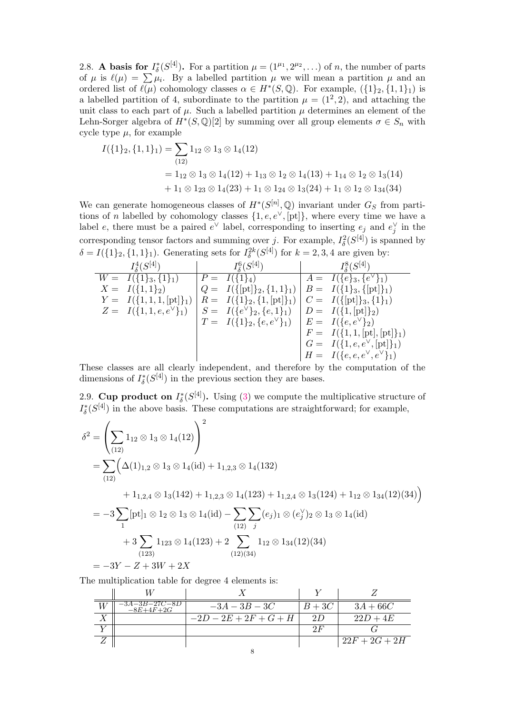2.8. **A basis for**  $I_{\delta}^{*}(S^{[4]})$ . For a partition  $\mu = (1^{\mu_1}, 2^{\mu_2}, \ldots)$  of *n*, the number of parts of  $\mu$  is  $\ell(\mu) = \sum \mu_i$ . By a labelled partition  $\mu$  we will mean a partition  $\mu$  and an ordered list of  $\ell(\mu)$  cohomology classes  $\alpha \in H^*(S, \mathbb{Q})$ . For example,  $({1}_2, {1}_1, {1}_1)$  is a labelled partition of 4, subordinate to the partition  $\mu = (1^2, 2)$ , and attaching the unit class to each part of  $\mu$ . Such a labelled partition  $\mu$  determines an element of the Lehn-Sorger algebra of  $H^*(S, \mathbb{Q})[2]$  by summing over all group elements  $\sigma \in S_n$  with cycle type  $\mu$ , for example

$$
I(\{1\}_2, \{1, 1\}_1) = \sum_{(12)} 1_{12} \otimes 1_3 \otimes 1_4(12)
$$
  
=  $1_{12} \otimes 1_3 \otimes 1_4(12) + 1_{13} \otimes 1_2 \otimes 1_4(13) + 1_{14} \otimes 1_2 \otimes 1_3(14)$   
+  $1_1 \otimes 1_{23} \otimes 1_4(23) + 1_1 \otimes 1_{24} \otimes 1_3(24) + 1_1 \otimes 1_2 \otimes 1_{34}(34)$ 

We can generate homogeneous classes of  $H^*(S^{[n]}, \mathbb{Q})$  invariant under  $G_S$  from partitions of n labelled by cohomology classes  $\{1, e, e^{\vee}, [pt]\}$ , where every time we have a label e, there must be a paired  $e^{\vee}$  label, corresponding to inserting  $e_j$  and  $e_j^{\vee}$  in the corresponding tensor factors and summing over j. For example,  $I_{\delta}^2(S^{[4]})$  is spanned by  $\delta = I(\{1\}_2, \{1, 1\}_1)$ . Generating sets for  $I_{\delta}^{2k}(S^{[4]})$  for  $k = 2, 3, 4$  are given by:

| $I_{\delta}^{4}(S^{[4]})$      | $I_{\delta}^{6}(S^{[4]})$                                   | $I_{\delta}^{8}(S^{[4]})$             |
|--------------------------------|-------------------------------------------------------------|---------------------------------------|
| $W = I({1}_3, {1}_1)$          | $P = I(\{1\}_4)$                                            | $A = I({e}_3,{e}^{\vee})_1$           |
| $X = I({1,1}_2)$               | $Q = I({{\{\nbrack{\nbrack} \atop 2},\{1,1\}}_1)}$          | $B = I({1}_3,{\text{[pt]}})_1$        |
| $Y = I({1, 1, 1, [pt]}\_1)$    | $R = I({1}_2, {1}, [pt]_1)$                                 | $C = I({{\{\npt\}}_3, {1}_1)}$        |
| $Z = I({1, 1, e, e^{\vee}}_1)$ | $S = I({e^{\vee}}_2, {e, 1}_1)$                             | $D = I({1, [\text{pt}]}_2)$           |
|                                | $T = I({1}_2, {e, e^{\vee}}_1) \mid E = I({e, e^{\vee}}_2)$ |                                       |
|                                |                                                             | $F = I({1, 1, [pt], [pt]})$           |
|                                |                                                             | $G = I({1, e, e^{\vee}, [pt] }_1)$    |
|                                |                                                             | $H = I({e, e, e^{\vee}, e^{\vee}}_1)$ |

These classes are all clearly independent, and therefore by the computation of the dimensions of  $I_{\delta}^{*}(S^{[4]})$  in the previous section they are bases.

2.9. Cup product on  $I_{\delta}^{*}(S^{[4]})$ . Using [\(3\)](#page-5-3) we compute the multiplicative structure of  $I_{\delta}^{*}(S^{[4]})$  in the above basis. These computations are straightforward; for example,

$$
\delta^{2} = \left(\sum_{(12)} 1_{12} \otimes 1_{3} \otimes 1_{4}(12)\right)^{2}
$$
  
=  $\sum_{(12)} \left(\Delta(1)_{1,2} \otimes 1_{3} \otimes 1_{4}(\text{id}) + 1_{1,2,3} \otimes 1_{4}(132)\right)$   
+  $1_{1,2,4} \otimes 1_{3}(142) + 1_{1,2,3} \otimes 1_{4}(123) + 1_{1,2,4} \otimes 1_{3}(124) + 1_{12} \otimes 1_{34}(12)(34)\right)$   
=  $-3 \sum_{1} [\text{pt}]_{1} \otimes 1_{2} \otimes 1_{3} \otimes 1_{4}(\text{id}) - \sum_{(12)} \sum_{j} (e_{j})_{1} \otimes (e_{j}^{\vee})_{2} \otimes 1_{3} \otimes 1_{4}(\text{id})$   
+  $3 \sum_{(123)} 1_{123} \otimes 1_{4}(123) + 2 \sum_{(12)(34)} 1_{12} \otimes 1_{34}(12)(34)$   
=  $-3Y - Z + 3W + 2X$ 

The multiplication table for degree 4 elements is:

| $\substack{ -3A -3B -27C -8D \ -8E +4F +2G }$ | $-3A - 3B - 3C$         | $B+3C$ | $3A + 66C$      |
|-----------------------------------------------|-------------------------|--------|-----------------|
|                                               | $-2D - 2E + 2F + G + H$ | 21)    | $22D + 4E$      |
|                                               |                         | ЭF     |                 |
|                                               |                         |        | $22F + 2G + 2H$ |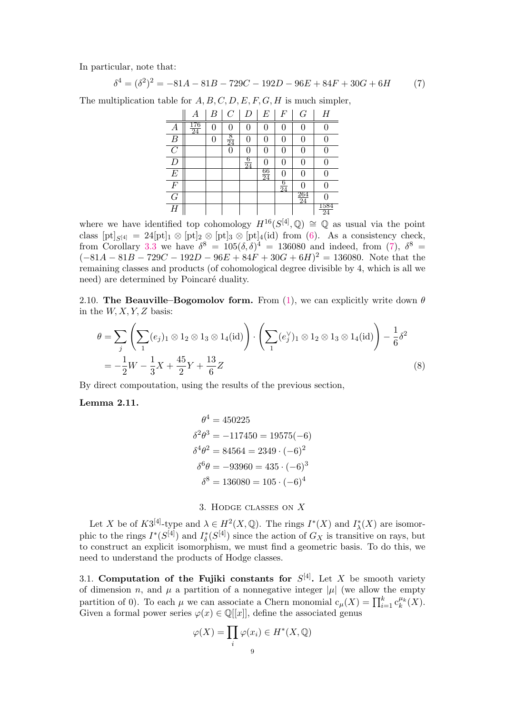In particular, note that:

$$
\delta^4 = (\delta^2)^2 = -81A - 81B - 729C - 192D - 96E + 84F + 30G + 6H
$$
 (7)

The multiplication table for  $A, B, C, D, E, F, G, H$  is much simpler,

<span id="page-8-0"></span>

|                  |    | B | C              | D              | E               | F                    | G         | Η                 |
|------------------|----|---|----------------|----------------|-----------------|----------------------|-----------|-------------------|
| А                | 24 |   |                | 0              | 0               |                      |           |                   |
| $\boldsymbol{B}$ |    | 0 | $\frac{8}{24}$ | 0              | 0               |                      | 0         |                   |
| $\mathcal{C}$    |    |   | $\Omega$       | 0              | 0               |                      | 0         |                   |
| $\boldsymbol{D}$ |    |   |                | $\frac{6}{24}$ | 0               |                      | 0         |                   |
| $\boldsymbol{E}$ |    |   |                |                | $\frac{66}{24}$ |                      | 0         |                   |
| $\cal F$         |    |   |                |                |                 | 6<br>$\overline{24}$ |           |                   |
| $\overline{G}$   |    |   |                |                |                 |                      | 264<br>24 |                   |
| H                |    |   |                |                |                 |                      |           | $\frac{1584}{24}$ |

where we have identified top cohomology  $H^{16}(S^{[4]},\mathbb{Q}) \cong \mathbb{Q}$  as usual via the point class  $[pt]_{S[4]} = 24[pt]_1 \otimes [pt]_2 \otimes [pt]_3 \otimes [pt]_4(id)$  from [\(6\)](#page-5-4). As a consistency check, from Corollary [3.3](#page-9-0) we have  $\delta^8 = 105(\delta, \delta)^4 = 136080$  and indeed, from [\(7\)](#page-8-0),  $\delta^8 =$  $(-81A - 81B - 729C - 192D - 96E + 84F + 30G + 6H)^{2} = 136080$ . Note that the remaining classes and products (of cohomological degree divisible by 4, which is all we need) are determined by Poincaré duality.

2.10. The Beauville–Bogomolov form. From [\(1\)](#page-0-0), we can explicitly write down  $\theta$ in the  $W, X, Y, Z$  basis:

$$
\theta = \sum_{j} \left( \sum_{1} (e_j)_1 \otimes 1_2 \otimes 1_3 \otimes 1_4(\text{id}) \right) \cdot \left( \sum_{1} (e_j^{\vee})_1 \otimes 1_2 \otimes 1_3 \otimes 1_4(\text{id}) \right) - \frac{1}{6} \delta^2
$$
  
=  $-\frac{1}{2}W - \frac{1}{3}X + \frac{45}{2}Y + \frac{13}{6}Z$  (8)

By direct compoutation, using the results of the previous section,

# <span id="page-8-1"></span>Lemma 2.11.

<span id="page-8-2"></span>
$$
\theta^4 = 450225
$$
  
\n
$$
\delta^2 \theta^3 = -117450 = 19575(-6)
$$
  
\n
$$
\delta^4 \theta^2 = 84564 = 2349 \cdot (-6)^2
$$
  
\n
$$
\delta^6 \theta = -93960 = 435 \cdot (-6)^3
$$
  
\n
$$
\delta^8 = 136080 = 105 \cdot (-6)^4
$$

3. Hodge classes on X

Let X be of  $K3^{[4]}$ -type and  $\lambda \in H^2(X, \mathbb{Q})$ . The rings  $I^*(X)$  and  $I^*_\lambda(X)$  are isomorphic to the rings  $I^*(S^{[4]})$  and  $I^*_{\delta}(S^{[4]})$  since the action of  $G_X$  is transitive on rays, but to construct an explicit isomorphism, we must find a geometric basis. To do this, we need to understand the products of Hodge classes.

<span id="page-8-3"></span>3.1. Computation of the Fujiki constants for  $S^{[4]}$ . Let X be smooth variety of dimension n, and  $\mu$  a partition of a nonnegative integer  $|\mu|$  (we allow the empty partition of 0). To each  $\mu$  we can associate a Chern monomial  $c_{\mu}(X) = \prod_{i=1}^{k} c_k^{\mu_k}(X)$ . Given a formal power series  $\varphi(x) \in \mathbb{Q}[[x]]$ , define the associated genus

$$
\varphi(X) = \prod_i \varphi(x_i) \in H^*(X, \mathbb{Q})
$$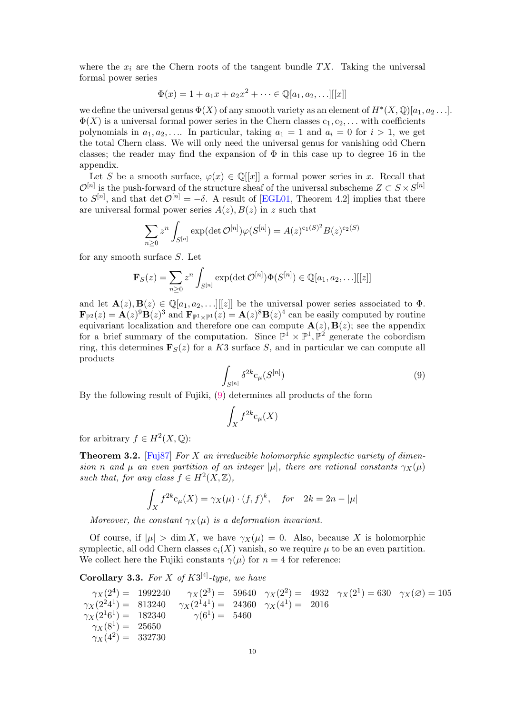where the  $x_i$  are the Chern roots of the tangent bundle TX. Taking the universal formal power series

$$
\Phi(x) = 1 + a_1 x + a_2 x^2 + \dots \in \mathbb{Q}[a_1, a_2, \dots][[x]]
$$

we define the universal genus  $\Phi(X)$  of any smooth variety as an element of  $H^*(X, \mathbb{Q})[a_1, a_2 \dots]$ .  $\Phi(X)$  is a universal formal power series in the Chern classes  $c_1, c_2, \ldots$  with coefficients polynomials in  $a_1, a_2, \ldots$  In particular, taking  $a_1 = 1$  and  $a_i = 0$  for  $i > 1$ , we get the total Chern class. We will only need the universal genus for vanishing odd Chern classes; the reader may find the expansion of  $\Phi$  in this case up to degree 16 in the appendix.

Let S be a smooth surface,  $\varphi(x) \in \mathbb{Q}[[x]]$  a formal power series in x. Recall that  $\mathcal{O}^{[n]}$  is the push-forward of the structure sheaf of the universal subscheme  $Z \subset S \times S^{[n]}$ to  $S^{[n]}$ , and that det  $\mathcal{O}^{[n]} = -\delta$ . A result of [\[EGL01,](#page-22-16) Theorem 4.2] implies that there are universal formal power series  $A(z)$ ,  $B(z)$  in z such that

$$
\sum_{n\geq 0} z^n \int_{S^{[n]}} \exp(\det \mathcal{O}^{[n]}) \varphi(S^{[n]}) = A(z)^{c_1(S)^2} B(z)^{c_2(S)}
$$

for any smooth surface S. Let

$$
\mathbf{F}_{S}(z) = \sum_{n\geq 0} z^{n} \int_{S^{[n]}} \exp(\det \mathcal{O}^{[n]}) \Phi(S^{[n]}) \in \mathbb{Q}[a_1, a_2, \ldots][[z]]
$$

and let  $\mathbf{A}(z), \mathbf{B}(z) \in \mathbb{Q}[a_1, a_2, \ldots] |z|]$  be the universal power series associated to  $\Phi$ .  $\mathbf{F}_{\mathbb{P}^2}(z) = \mathbf{A}(z)^9 \mathbf{B}(z)^3$  and  $\mathbf{F}_{\mathbb{P}^1 \times \mathbb{P}^1}(z) = \mathbf{A}(z)^8 \mathbf{B}(z)^4$  can be easily computed by routine equivariant localization and therefore one can compute  $\mathbf{A}(z), \mathbf{B}(z)$ ; see the appendix for a brief summary of the computation. Since  $\mathbb{P}^{\mathbb{I}} \times \mathbb{P}^1$ ,  $\mathbb{P}^2$  generate the cobordism ring, this determines  $\mathbf{F}_{S}(z)$  for a K3 surface S, and in particular we can compute all products

<span id="page-9-1"></span>
$$
\int_{S^{[n]}} \delta^{2k} \mathbf{c}_{\mu}(S^{[n]}) \tag{9}
$$

By the following result of Fujiki, [\(9\)](#page-9-1) determines all products of the form

$$
\int_X f^{2k} \mathsf{c}_{\mu}(X)
$$

for arbitrary  $f \in H^2(X, \mathbb{Q})$ :

**Theorem 3.2.** [\[Fuj87\]](#page-22-17) For X an irreducible holomorphic symplectic variety of dimension n and  $\mu$  an even partition of an integer  $|\mu|$ , there are rational constants  $\gamma_X(\mu)$ such that, for any class  $f \in H^2(X,\mathbb{Z})$ ,

$$
\int_X f^{2k} \mathbf{c}_{\mu}(X) = \gamma_X(\mu) \cdot (f, f)^k, \quad \text{for} \quad 2k = 2n - |\mu|
$$

Moreover, the constant  $\gamma_X(\mu)$  is a deformation invariant.

Of course, if  $|\mu| > \dim X$ , we have  $\gamma_X(\mu) = 0$ . Also, because X is holomorphic symplectic, all odd Chern classes  $c_i(X)$  vanish, so we require  $\mu$  to be an even partition. We collect here the Fujiki constants  $\gamma(\mu)$  for  $n = 4$  for reference:

<span id="page-9-0"></span>**Corollary 3.3.** For X of  $K3^{[4]}$ -type, we have

$$
\gamma_X(2^4) = 1992240 \quad \gamma_X(2^3) = 59640 \quad \gamma_X(2^2) = 4932 \quad \gamma_X(2^1) = 630 \quad \gamma_X(\emptyset) = 105
$$
  
\n
$$
\gamma_X(2^24^1) = 813240 \quad \gamma_X(2^14^1) = 24360 \quad \gamma_X(4^1) = 2016
$$
  
\n
$$
\gamma_X(2^16^1) = 182340 \quad \gamma(6^1) = 5460
$$
  
\n
$$
\gamma_X(8^1) = 25650
$$
  
\n
$$
\gamma_X(4^2) = 332730
$$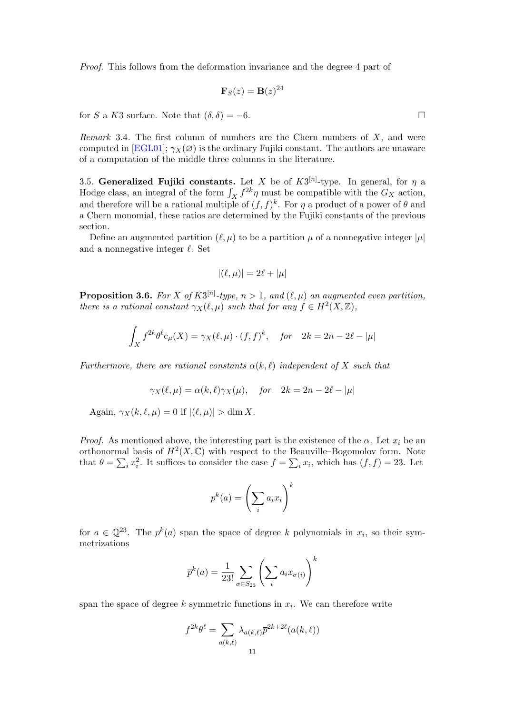Proof. This follows from the deformation invariance and the degree 4 part of

$$
\mathbf{F}_S(z) = \mathbf{B}(z)^{24}
$$

for S a K3 surface. Note that  $(\delta, \delta) = -6$ .

Remark 3.4. The first column of numbers are the Chern numbers of  $X$ , and were computed in [\[EGL01\]](#page-22-16);  $\gamma_X(\emptyset)$  is the ordinary Fujiki constant. The authors are unaware of a computation of the middle three columns in the literature.

3.5. Generalized Fujiki constants. Let X be of  $K3^{[n]}$ -type. In general, for  $\eta$  a Hodge class, an integral of the form  $\int_X f^{2k}\eta$  must be compatible with the  $G_X$  action, and therefore will be a rational multiple of  $(f, f)^k$ . For  $\eta$  a product of a power of  $\theta$  and a Chern monomial, these ratios are determined by the Fujiki constants of the previous section.

Define an augmented partition  $(\ell, \mu)$  to be a partition  $\mu$  of a nonnegative integer  $|\mu|$ and a nonnegative integer  $\ell$ . Set

$$
|(\ell,\mu)| = 2\ell + |\mu|
$$

**Proposition 3.6.** For X of  $K3^{[n]}$ -type,  $n > 1$ , and  $(\ell, \mu)$  an augmented even partition, there is a rational constant  $\gamma_X(\ell,\mu)$  such that for any  $f \in H^2(X,\mathbb{Z})$ ,

$$
\int_X f^{2k} \theta^{\ell} c_{\mu}(X) = \gamma_X(\ell, \mu) \cdot (f, f)^k, \quad \text{for} \quad 2k = 2n - 2\ell - |\mu|
$$

Furthermore, there are rational constants  $\alpha(k, \ell)$  independent of X such that

$$
\gamma_X(\ell,\mu) = \alpha(k,\ell)\gamma_X(\mu), \quad \text{for} \quad 2k = 2n - 2\ell - |\mu|
$$

Again,  $\gamma_X(k, \ell, \mu) = 0$  if  $|(\ell, \mu)| > \dim X$ .

*Proof.* As mentioned above, the interesting part is the existence of the  $\alpha$ . Let  $x_i$  be an orthonormal basis of  $H^2(X,\mathbb{C})$  with respect to the Beauville–Bogomolov form. Note that  $\theta = \sum_i x_i^2$ . It suffices to consider the case  $f = \sum_i x_i$ , which has  $(f, f) = 23$ . Let

$$
p^k(a) = \left(\sum_i a_i x_i\right)^k
$$

for  $a \in \mathbb{Q}^{23}$ . The  $p^k(a)$  span the space of degree k polynomials in  $x_i$ , so their symmetrizations

$$
\overline{p}^k(a) = \frac{1}{23!} \sum_{\sigma \in S_{23}} \left( \sum_i a_i x_{\sigma(i)} \right)^k
$$

span the space of degree  $k$  symmetric functions in  $x_i$ . We can therefore write

$$
f^{2k}\theta^{\ell} = \sum_{a(k,\ell)} \lambda_{a(k,\ell)} \overline{p}^{2k+2\ell}(a(k,\ell))
$$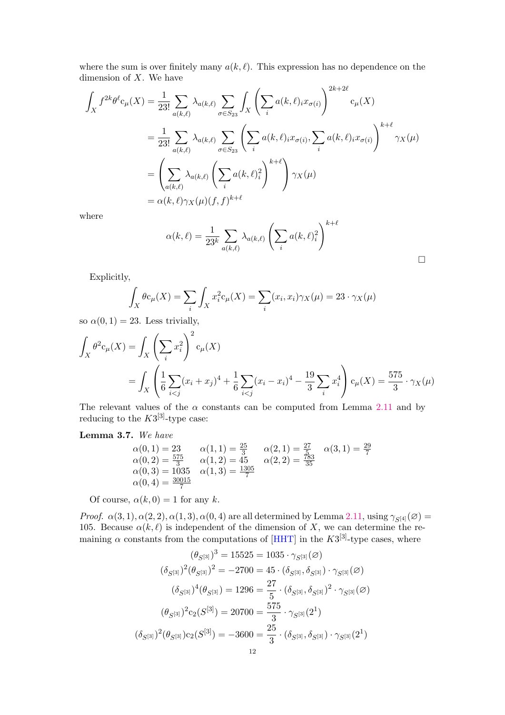where the sum is over finitely many  $a(k, \ell)$ . This expression has no dependence on the dimension of  $X$ . We have

$$
\int_{X} f^{2k} \theta^{\ell} c_{\mu}(X) = \frac{1}{23!} \sum_{a(k,\ell)} \lambda_{a(k,\ell)} \sum_{\sigma \in S_{23}} \int_{X} \left( \sum_{i} a(k,\ell)_{i} x_{\sigma(i)} \right)^{2k+2\ell} c_{\mu}(X)
$$
\n
$$
= \frac{1}{23!} \sum_{a(k,\ell)} \lambda_{a(k,\ell)} \sum_{\sigma \in S_{23}} \left( \sum_{i} a(k,\ell)_{i} x_{\sigma(i)}, \sum_{i} a(k,\ell)_{i} x_{\sigma(i)} \right)^{k+\ell} \gamma_{X}(\mu)
$$
\n
$$
= \left( \sum_{a(k,\ell)} \lambda_{a(k,\ell)} \left( \sum_{i} a(k,\ell)_{i}^{2} \right)^{k+\ell} \right) \gamma_{X}(\mu)
$$
\n
$$
= \alpha(k,\ell) \gamma_{X}(\mu)(f,f)^{k+\ell}
$$

where

$$
\alpha(k,\ell) = \frac{1}{23^k} \sum_{a(k,\ell)} \lambda_{a(k,\ell)} \left( \sum_i a(k,\ell)_i^2 \right)^{k+\ell}
$$

 $\Box$ 

Explicitly,

$$
\int_X \theta c_\mu(X) = \sum_i \int_X x_i^2 c_\mu(X) = \sum_i (x_i, x_i) \gamma_X(\mu) = 23 \cdot \gamma_X(\mu)
$$

so  $\alpha(0, 1) = 23$ . Less trivially,

$$
\int_X \theta^2 c_\mu(X) = \int_X \left(\sum_i x_i^2\right)^2 c_\mu(X)
$$
\n
$$
= \int_X \left(\frac{1}{6} \sum_{i < j} (x_i + x_j)^4 + \frac{1}{6} \sum_{i < j} (x_i - x_i)^4 - \frac{19}{3} \sum_i x_i^4\right) c_\mu(X) = \frac{575}{3} \cdot \gamma_X(\mu)
$$

The relevant values of the  $\alpha$  constants can be computed from Lemma [2.11](#page-8-1) and by reducing to the  $K3^{[3]}$ -type case:

# <span id="page-11-0"></span>Lemma 3.7. We have

$$
\alpha(0,1) = 23 \qquad \alpha(1,1) = \frac{25}{3} \qquad \alpha(2,1) = \frac{27}{5} \qquad \alpha(3,1) = \frac{29}{7}
$$
  
\n
$$
\alpha(0,2) = \frac{575}{3} \qquad \alpha(1,2) = 45 \qquad \alpha(2,2) = \frac{783}{35}
$$
  
\n
$$
\alpha(0,3) = 1035 \qquad \alpha(1,3) = \frac{1305}{7}
$$
  
\n
$$
\alpha(0,4) = \frac{30015}{7}
$$

Of course,  $\alpha(k, 0) = 1$  for any k.

Proof.  $\alpha(3,1), \alpha(2,2), \alpha(1,3), \alpha(0,4)$  are all determined by Lemma [2.11,](#page-8-1) using  $\gamma_{S^{[4]}}(\emptyset)$ 105. Because  $\alpha(k, \ell)$  is independent of the dimension of X, we can determine the remaining  $\alpha$  constants from the computations of [\[HHT\]](#page-22-9) in the  $K3^{[3]}$ -type cases, where

$$
(\theta_{S^{[3]}})^3 = 15525 = 1035 \cdot \gamma_{S^{[3]}}(\varnothing)
$$

$$
(\delta_{S^{[3]}})^2 (\theta_{S^{[3]}})^2 = -2700 = 45 \cdot (\delta_{S^{[3]}}, \delta_{S^{[3]}}) \cdot \gamma_{S^{[3]}}(\varnothing)
$$

$$
(\delta_{S^{[3]}})^4 (\theta_{S^{[3]}}) = 1296 = \frac{27}{5} \cdot (\delta_{S^{[3]}}, \delta_{S^{[3]}})^2 \cdot \gamma_{S^{[3]}}(\varnothing)
$$

$$
(\theta_{S^{[3]}})^2 c_2 (S^{[3]}) = 20700 = \frac{575}{3} \cdot \gamma_{S^{[3]}} (2^1)
$$

$$
(\delta_{S^{[3]}})^2 (\theta_{S^{[3]}}) c_2 (S^{[3]}) = -3600 = \frac{25}{3} \cdot (\delta_{S^{[3]}}, \delta_{S^{[3]}}) \cdot \gamma_{S^{[3]}} (2^1)
$$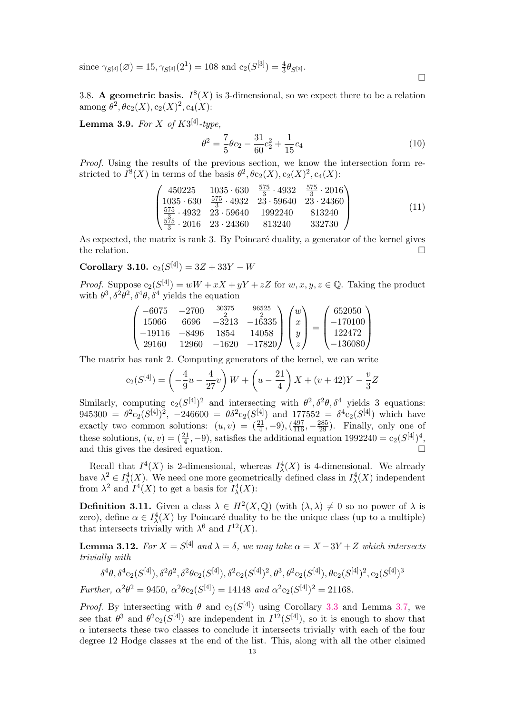since  $\gamma_{S^{[3]}}(\varnothing) = 15, \gamma_{S^{[3]}}(2^1) = 108$  and  $c_2(S^{[3]}) = \frac{4}{3}\theta_{S^{[3]}}$ .

3.8. A geometric basis.  $I^{8}(X)$  is 3-dimensional, so we expect there to be a relation among  $\theta^2$ ,  $\theta c_2(X)$ ,  $c_2(X)^2$ ,  $c_4(X)$ :

**Lemma 3.9.** For X of  $K3^{[4]}$ -type,

<span id="page-12-2"></span>
$$
\theta^2 = \frac{7}{5}\theta c_2 - \frac{31}{60}c_2^2 + \frac{1}{15}c_4\tag{10}
$$

Proof. Using the results of the previous section, we know the intersection form restricted to  $I^8(X)$  in terms of the basis  $\theta^2$ ,  $\theta c_2(X)$ ,  $c_2(X)^2$ ,  $c_4(X)$ :

$$
\begin{pmatrix}\n450225 & 1035 \cdot 630 & \frac{575}{3} \cdot 4932 & \frac{575}{3} \cdot 2016 \\
1035 \cdot 630 & \frac{575}{3} \cdot 4932 & 23 \cdot 59640 & 23 \cdot 24360 \\
\frac{575}{3} \cdot 4932 & 23 \cdot 59640 & 1992240 & 813240 \\
\frac{575}{3} \cdot 2016 & 23 \cdot 24360 & 813240 & 332730\n\end{pmatrix}
$$
\n(11)

As expected, the matrix is rank 3. By Poincaré duality, a generator of the kernel gives the relation.  $\Box$ 

<span id="page-12-0"></span>Corollary 3.10.  $c_2(S^{[4]}) = 3Z + 33Y - W$ 

*Proof.* Suppose  $c_2(S^{[4]}) = wW + xX + yY + zZ$  for  $w, x, y, z \in \mathbb{Q}$ . Taking the product with  $\theta^3$ ,  $\delta^2\theta^2$ ,  $\delta^4\theta$ ,  $\delta^4$  yields the equation

$$
\begin{pmatrix}\n-6075 & -2700 & \frac{30375}{2} & \frac{96525}{2} \\
15066 & 6696 & -3213 & -16335 \\
-19116 & -8496 & 1854 & 14058 \\
29160 & 12960 & -1620 & -17820\n\end{pmatrix}\n\begin{pmatrix}\nw \\
x \\
y \\
z\n\end{pmatrix} =\n\begin{pmatrix}\n652050 \\
-170100 \\
122472 \\
-136080\n\end{pmatrix}
$$

The matrix has rank 2. Computing generators of the kernel, we can write

$$
c_2(S^{[4]}) = \left(-\frac{4}{9}u - \frac{4}{27}v\right)W + \left(u - \frac{21}{4}\right)X + (v + 42)Y - \frac{v}{3}Z
$$

Similarly, computing  $c_2(S^{[4]})^2$  and intersecting with  $\theta^2, \delta^2\theta, \delta^4$  yields 3 equations:  $945300 = \theta^2 c_2 (S^{[4]})^2$ ,  $-246600 = \theta \delta^2 c_2 (S^{[4]})$  and  $177552 = \delta^4 c_2 (S^{[4]})$  which have exactly two common solutions:  $(u, v) = \left(\frac{21}{4}, -9\right), \left(\frac{497}{116}, -\frac{285}{29}\right)$ . Finally, only one of these solutions,  $(u, v) = (\frac{21}{4}, -9)$ , satisfies the additional equation  $1992240 = c_2(S^{[4]})^4$ , and this gives the desired equation.

Recall that  $I^4(X)$  is 2-dimensional, whereas  $I^4_\lambda(X)$  is 4-dimensional. We already have  $\lambda^2 \in I^4_\lambda(X)$ . We need one more geometrically defined class in  $I^4_\lambda(X)$  independent from  $\lambda^2$  and  $I^4(X)$  to get a basis for  $I^4_\lambda(X)$ :

<span id="page-12-1"></span>**Definition 3.11.** Given a class  $\lambda \in H^2(X, \mathbb{Q})$  (with  $(\lambda, \lambda) \neq 0$  so no power of  $\lambda$  is zero), define  $\alpha \in I^4_\lambda(X)$  by Poincaré duality to be the unique class (up to a multiple) that intersects trivially with  $\lambda^6$  and  $I^{12}(X)$ .

**Lemma 3.12.** For  $X = S^{[4]}$  and  $\lambda = \delta$ , we may take  $\alpha = X - 3Y + Z$  which intersects trivially with

$$
\delta^4 \theta, \delta^4 c_2(S^{[4]}), \delta^2 \theta^2, \delta^2 \theta c_2(S^{[4]}), \delta^2 c_2(S^{[4]})^2, \theta^3, \theta^2 c_2(S^{[4]}), \theta c_2(S^{[4]})^2, c_2(S^{[4]})^3
$$
  
Further,  $\alpha^2 \theta^2 = 9450$ ,  $\alpha^2 \theta c_2(S^{[4]}) = 14148$  and  $\alpha^2 c_2(S^{[4]})^2 = 21168$ .

*Proof.* By intersecting with  $\theta$  and  $c_2(S^{[4]})$  using Corollary [3.3](#page-9-0) and Lemma [3.7,](#page-11-0) we see that  $\theta^3$  and  $\theta^2 c_2(S^{[4]})$  are independent in  $I^{12}(S^{[4]})$ , so it is enough to show that  $\alpha$  intersects these two classes to conclude it intersects trivially with each of the four degree 12 Hodge classes at the end of the list. This, along with all the other claimed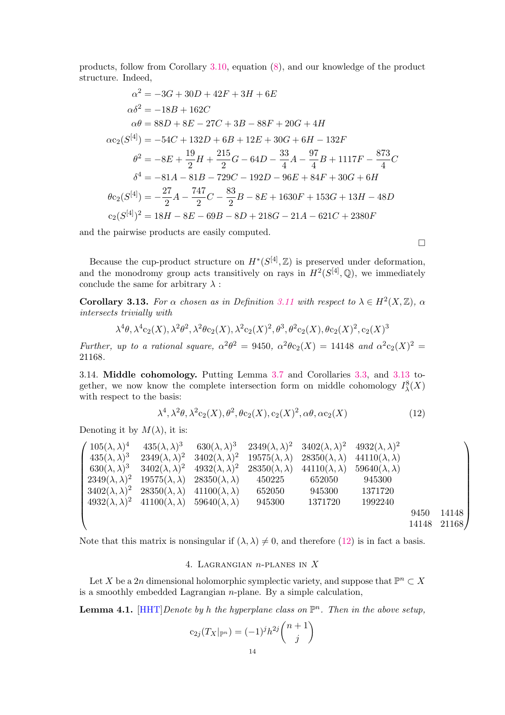products, follow from Corollary [3.10,](#page-12-0) equation [\(8\)](#page-8-2), and our knowledge of the product structure. Indeed,

$$
\alpha^2 = -3G + 30D + 42F + 3H + 6E
$$
  
\n
$$
\alpha\delta^2 = -18B + 162C
$$
  
\n
$$
\alpha\theta = 88D + 8E - 27C + 3B - 88F + 20G + 4H
$$
  
\n
$$
\alpha c_2(S^{[4]}) = -54C + 132D + 6B + 12E + 30G + 6H - 132F
$$
  
\n
$$
\theta^2 = -8E + \frac{19}{2}H + \frac{215}{2}G - 64D - \frac{33}{4}A - \frac{97}{4}B + 1117F - \frac{873}{4}C
$$
  
\n
$$
\delta^4 = -81A - 81B - 729C - 192D - 96E + 84F + 30G + 6H
$$
  
\n
$$
\theta c_2(S^{[4]}) = -\frac{27}{2}A - \frac{747}{2}C - \frac{83}{2}B - 8E + 1630F + 153G + 13H - 48D
$$
  
\n
$$
c_2(S^{[4]})^2 = 18H - 8E - 69B - 8D + 218G - 21A - 621C + 2380F
$$

and the pairwise products are easily computed.

Because the cup-product structure on  $H^*(S^{[4]}, \mathbb{Z})$  is preserved under deformation, and the monodromy group acts transitively on rays in  $H^2(S^{[4]},{\mathbb Q})$ , we immediately conclude the same for arbitrary  $\lambda$ :

<span id="page-13-0"></span>**Corollary 3.13.** For  $\alpha$  chosen as in Definition [3.11](#page-12-1) with respect to  $\lambda \in H^2(X,\mathbb{Z})$ ,  $\alpha$ intersects trivially with

$$
\lambda^4 \theta, \lambda^4 c_2(X), \lambda^2 \theta^2, \lambda^2 \theta c_2(X), \lambda^2 c_2(X)^2, \theta^3, \theta^2 c_2(X), \theta c_2(X)^2, c_2(X)^3
$$

Further, up to a rational square,  $\alpha^2\theta^2 = 9450$ ,  $\alpha^2\theta c_2(X) = 14148$  and  $\alpha^2 c_2(X)^2 =$ 21168.

3.14. Middle cohomology. Putting Lemma [3.7](#page-11-0) and Corollaries [3.3,](#page-9-0) and [3.13](#page-13-0) together, we now know the complete intersection form on middle cohomology  $I^8_\lambda(X)$ with respect to the basis:

<span id="page-13-1"></span>
$$
\lambda^4, \lambda^2 \theta, \lambda^2 c_2(X), \theta^2, \theta c_2(X), c_2(X)^2, \alpha \theta, \alpha c_2(X)
$$
\n(12)

 $\Box$ 

Denoting it by  $M(\lambda)$ , it is:

| $105(\lambda,\lambda)^4$  | $435(\lambda,\lambda)^3$                              | $630(\lambda,\lambda)^3$                            | $2349(\lambda,\lambda)^2$ $3402(\lambda,\lambda)^2$ |                           | $4932(\lambda,\lambda)^2$ |       |       |
|---------------------------|-------------------------------------------------------|-----------------------------------------------------|-----------------------------------------------------|---------------------------|---------------------------|-------|-------|
| $435(\lambda,\lambda)^3$  | $2349(\lambda,\lambda)^2$                             | $3402(\lambda,\lambda)^2$                           | $19575(\lambda,\lambda)$                            | $28350(\lambda,\lambda)$  | $44110(\lambda, \lambda)$ |       |       |
| $630(\lambda,\lambda)^3$  | $3402(\lambda,\lambda)^2$                             | $4932(\lambda,\lambda)^2$                           | $28350(\lambda, \lambda)$                           | $44110(\lambda, \lambda)$ | $59640(\lambda,\lambda)$  |       |       |
| $2349(\lambda,\lambda)^2$ |                                                       | $19575(\lambda, \lambda)$ $28350(\lambda, \lambda)$ | 450225                                              | 652050                    | 945300                    |       |       |
| $3402(\lambda,\lambda)^2$ | $28350(\lambda, \lambda)$ $41100(\lambda, \lambda)$   |                                                     | 652050                                              | 945300                    | 1371720                   |       |       |
| $4932(\lambda,\lambda)^2$ | $41100(\lambda, \lambda)$ 59640( $\lambda, \lambda$ ) |                                                     | 945300                                              | 1371720                   | 1992240                   |       |       |
|                           |                                                       |                                                     |                                                     |                           |                           | 9450  | 14148 |
|                           |                                                       |                                                     |                                                     |                           |                           | 14148 | 21168 |

Note that this matrix is nonsingular if  $(\lambda, \lambda) \neq 0$ , and therefore [\(12\)](#page-13-1) is in fact a basis.

### 4. Lagrangian n-planes in X

Let X be a 2n dimensional holomorphic symplectic variety, and suppose that  $\mathbb{P}^n \subset X$ is a smoothly embedded Lagrangian n-plane. By a simple calculation,

<span id="page-13-2"></span>**Lemma 4.1.** [\[HHT\]](#page-22-9) Denote by h the hyperplane class on  $\mathbb{P}^n$ . Then in the above setup,

$$
c_{2j}(T_X|_{\mathbb{P}^n}) = (-1)^j h^{2j} \binom{n+1}{j}
$$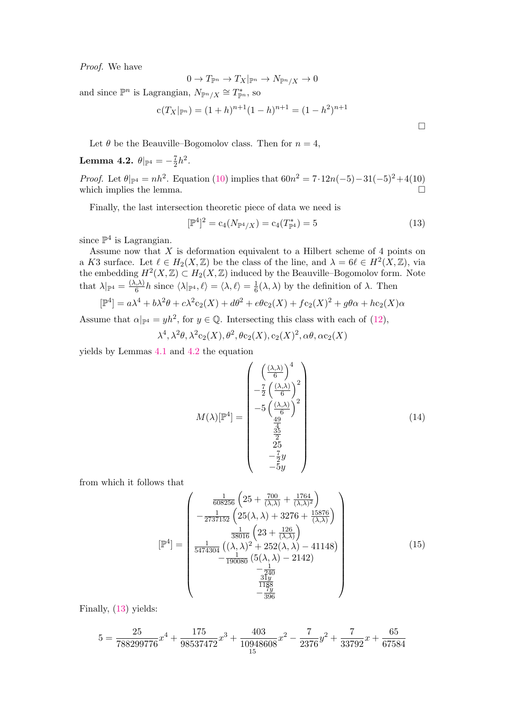Proof. We have

$$
0 \to T_{\mathbb{P}^n} \to T_X|_{\mathbb{P}^n} \to N_{\mathbb{P}^n/X} \to 0
$$

and since  $\mathbb{P}^n$  is Lagrangian,  $N_{\mathbb{P}^n/X} \cong T^*_{\mathbb{P}^n}$ , so

$$
c(T_X|_{\mathbb{P}^n}) = (1+h)^{n+1}(1-h)^{n+1} = (1-h^2)^{n+1}
$$

Let  $\theta$  be the Beauville–Bogomolov class. Then for  $n = 4$ ,

<span id="page-14-0"></span>**Lemma 4.2.** 
$$
\theta|_{\mathbb{P}^4} = -\frac{7}{2}h^2
$$
.

*Proof.* Let  $\theta|_{\mathbb{P}^4} = nh^2$ . Equation [\(10\)](#page-12-2) implies that  $60n^2 = 7 \cdot 12n(-5) - 31(-5)^2 + 4(10)$ which implies the lemma.  $\Box$ 

Finally, the last intersection theoretic piece of data we need is

<span id="page-14-1"></span>
$$
[\mathbb{P}^4]^2 = c_4(N_{\mathbb{P}^4/X}) = c_4(T_{\mathbb{P}^4}^*) = 5
$$
\n(13)

 $\Box$ 

since  $\mathbb{P}^4$  is Lagrangian.

Assume now that  $X$  is deformation equivalent to a Hilbert scheme of 4 points on a K3 surface. Let  $\ell \in H_2(X, \mathbb{Z})$  be the class of the line, and  $\lambda = 6\ell \in H^2(X, \mathbb{Z})$ , via the embedding  $H^2(X,\mathbb{Z}) \subset H_2(X,\mathbb{Z})$  induced by the Beauville–Bogomolov form. Note that  $\lambda|_{\mathbb{P}^4} = \frac{(\lambda, \lambda)}{6}$  $\frac{\lambda}{6}$ h since  $\langle \lambda |_{\mathbb{P}^4}, \ell \rangle = \langle \lambda, \ell \rangle = \frac{1}{6}$  $\frac{1}{6}(\lambda, \lambda)$  by the definition of  $\lambda$ . Then

$$
[\mathbb{P}^4] = a\lambda^4 + b\lambda^2 \theta + c\lambda^2 c_2(X) + d\theta^2 + e\theta c_2(X) + f c_2(X)^2 + g\theta\alpha + h c_2(X)\alpha
$$

Assume that  $\alpha|_{\mathbb{P}^4} = yh^2$ , for  $y \in \mathbb{Q}$ . Intersecting this class with each of [\(12\)](#page-13-1),

$$
\lambda^4, \lambda^2 \theta, \lambda^2 c_2(X), \theta^2, \theta c_2(X), c_2(X)^2, \alpha \theta, \alpha c_2(X)
$$

yields by Lemmas [4.1](#page-13-2) and [4.2](#page-14-0) the equation

$$
M(\lambda)[\mathbb{P}^{4}] = \begin{pmatrix} \left(\frac{(\lambda,\lambda)}{6}\right)^{4} \\ -\frac{7}{2} \left(\frac{(\lambda,\lambda)}{6}\right)^{2} \\ -5 \left(\frac{(\lambda,\lambda)}{6}\right)^{2} \\ \frac{49}{2} \\ \frac{35}{2} \\ 25 \\ -\frac{7}{2}y \\ -5y \end{pmatrix}
$$
(14)

from which it follows that

<span id="page-14-2"></span>
$$
\begin{bmatrix} \mathbb{P}^4 \end{bmatrix} = \begin{pmatrix} \frac{1}{608256} \left( 25 + \frac{700}{(\lambda,\lambda)} + \frac{1764}{(\lambda,\lambda)^2} \right) \\ -\frac{1}{2737152} \left( 25(\lambda,\lambda) + 3276 + \frac{15876}{(\lambda,\lambda)} \right) \\ \frac{1}{38016} \left( 23 + \frac{126}{(\lambda,\lambda)} \right) \\ \frac{1}{5474304} \left( (\lambda,\lambda)^2 + 252(\lambda,\lambda) - 41148 \right) \\ -\frac{1}{190080} \left( 5(\lambda,\lambda) - 2142 \right) \\ \frac{1}{1188} \\ -\frac{1}{319} \\ -\frac{1}{396} \end{pmatrix}
$$
 (15)

Finally, [\(13\)](#page-14-1) yields:

$$
5 = \frac{25}{788299776}x^4 + \frac{175}{98537472}x^3 + \frac{403}{10948608}x^2 - \frac{7}{2376}y^2 + \frac{7}{33792}x + \frac{65}{67584}
$$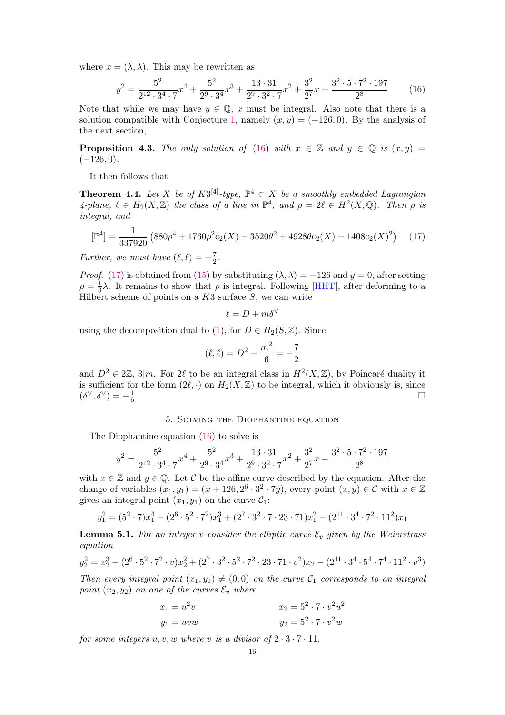where  $x = (\lambda, \lambda)$ . This may be rewritten as

<span id="page-15-1"></span>
$$
y^{2} = \frac{5^{2}}{2^{12} \cdot 3^{4} \cdot 7} x^{4} + \frac{5^{2}}{2^{9} \cdot 3^{4}} x^{3} + \frac{13 \cdot 31}{2^{9} \cdot 3^{2} \cdot 7} x^{2} + \frac{3^{2}}{2^{7}} x - \frac{3^{2} \cdot 5 \cdot 7^{2} \cdot 197}{2^{8}}
$$
(16)

Note that while we may have  $y \in \mathbb{Q}$ , x must be integral. Also note that there is a solution compatible with Conjecture [1,](#page-1-2) namely  $(x, y) = (-126, 0)$ . By the analysis of the next section,

**Proposition 4.3.** The only solution of [\(16\)](#page-15-1) with  $x \in \mathbb{Z}$  and  $y \in \mathbb{Q}$  is  $(x, y) =$  $(-126, 0).$ 

It then follows that

<span id="page-15-0"></span>**Theorem 4.4.** Let X be of  $K3^{[4]}$ -type,  $\mathbb{P}^4 \subset X$  be a smoothly embedded Lagrangian 4-plane,  $\ell \in H_2(X,\mathbb{Z})$  the class of a line in  $\mathbb{P}^4$ , and  $\rho = 2\ell \in H^2(X,\mathbb{Q})$ . Then  $\rho$  is integral, and

<span id="page-15-2"></span>
$$
[\mathbb{P}^4] = \frac{1}{337920} \left( 880\rho^4 + 1760\rho^2 c_2(X) - 3520\theta^2 + 4928\theta c_2(X) - 1408c_2(X)^2 \right) \tag{17}
$$

Further, we must have  $(\ell, \ell) = -\frac{7}{2}$  $\frac{7}{2}$ .

*Proof.* [\(17\)](#page-15-2) is obtained from [\(15\)](#page-14-2) by substituting  $(\lambda, \lambda) = -126$  and  $y = 0$ , after setting  $\rho = \frac{1}{3}$  $\frac{1}{3}$ λ. It remains to show that  $\rho$  is integral. Following [\[HHT\]](#page-22-9), after deforming to a Hilbert scheme of points on a  $K3$  surface  $S$ , we can write

$$
\ell = D + m\delta^\vee
$$

using the decomposition dual to [\(1\)](#page-0-0), for  $D \in H_2(S, \mathbb{Z})$ . Since

$$
(\ell, \ell) = D^2 - \frac{m^2}{6} = -\frac{7}{2}
$$

and  $D^2 \in 2\mathbb{Z}$ , 3|m. For 2 $\ell$  to be an integral class in  $H^2(X,\mathbb{Z})$ , by Poincaré duality it is sufficient for the form  $(2\ell, \cdot)$  on  $H_2(X, \mathbb{Z})$  to be integral, which it obviously is, since  $(\delta^{\vee}, \delta^{\vee}) = -\frac{1}{6}$ 6 .

## 5. Solving the Diophantine equation

The Diophantine equation [\(16\)](#page-15-1) to solve is

$$
y^{2} = \frac{5^{2}}{2^{12} \cdot 3^{4} \cdot 7} x^{4} + \frac{5^{2}}{2^{9} \cdot 3^{4}} x^{3} + \frac{13 \cdot 31}{2^{9} \cdot 3^{2} \cdot 7} x^{2} + \frac{3^{2}}{2^{7}} x - \frac{3^{2} \cdot 5 \cdot 7^{2} \cdot 197}{2^{8}}
$$

with  $x \in \mathbb{Z}$  and  $y \in \mathbb{Q}$ . Let C be the affine curve described by the equation. After the change of variables  $(x_1, y_1) = (x + 126, 2^6 \cdot 3^2 \cdot 7y)$ , every point  $(x, y) \in \mathcal{C}$  with  $x \in \mathbb{Z}$ gives an integral point  $(x_1, y_1)$  on the curve  $\mathcal{C}_1$ :

$$
y_1^2 = (5^2 \cdot 7)x_1^4 - (2^6 \cdot 5^2 \cdot 7^2)x_1^3 + (2^7 \cdot 3^2 \cdot 7 \cdot 23 \cdot 71)x_1^2 - (2^{11} \cdot 3^4 \cdot 7^2 \cdot 11^2)x_1
$$

**Lemma 5.1.** For an integer v consider the elliptic curve  $\mathcal{E}_v$  given by the Weierstrass equation

$$
y_2^2 = x_2^3 - (2^6 \cdot 5^2 \cdot 7^2 \cdot v)x_2^2 + (2^7 \cdot 3^2 \cdot 5^2 \cdot 7^2 \cdot 23 \cdot 71 \cdot v^2)x_2 - (2^{11} \cdot 3^4 \cdot 5^4 \cdot 7^4 \cdot 11^2 \cdot v^3)
$$

Then every integral point  $(x_1, y_1) \neq (0, 0)$  on the curve  $\mathcal{C}_1$  corresponds to an integral point  $(x_2, y_2)$  on one of the curves  $\mathcal{E}_v$  where

$$
x_1 = u^2v
$$
  
\n
$$
y_1 = uvw
$$
  
\n
$$
x_2 = 5^2 \cdot 7 \cdot v^2u^2
$$
  
\n
$$
y_2 = 5^2 \cdot 7 \cdot v^2w
$$

for some integers  $u, v, w$  where v is a divisor of  $2 \cdot 3 \cdot 7 \cdot 11$ .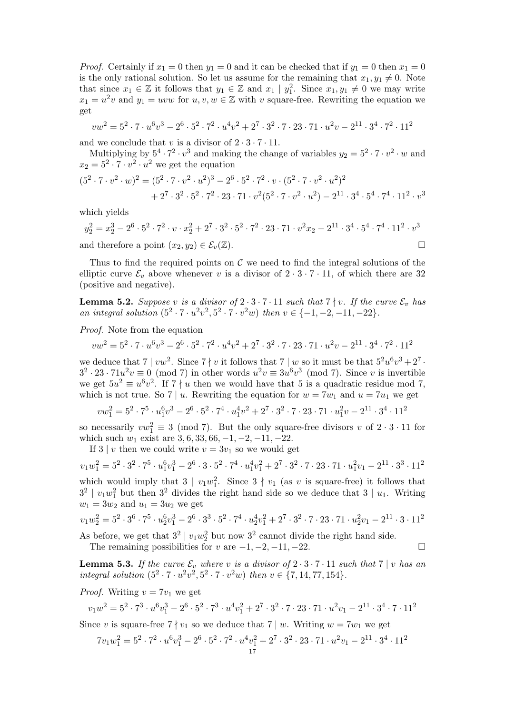*Proof.* Certainly if  $x_1 = 0$  then  $y_1 = 0$  and it can be checked that if  $y_1 = 0$  then  $x_1 = 0$ is the only rational solution. So let us assume for the remaining that  $x_1, y_1 \neq 0$ . Note that since  $x_1 \in \mathbb{Z}$  it follows that  $y_1 \in \mathbb{Z}$  and  $x_1 \mid y_1^2$ . Since  $x_1, y_1 \neq 0$  we may write  $x_1 = u^2v$  and  $y_1 = uvw$  for  $u, v, w \in \mathbb{Z}$  with v square-free. Rewriting the equation we get

$$
vw^{2} = 5^{2} \cdot 7 \cdot u^{6}v^{3} - 2^{6} \cdot 5^{2} \cdot 7^{2} \cdot u^{4}v^{2} + 2^{7} \cdot 3^{2} \cdot 7 \cdot 23 \cdot 71 \cdot u^{2}v - 2^{11} \cdot 3^{4} \cdot 7^{2} \cdot 11^{2}
$$

and we conclude that v is a divisor of  $2 \cdot 3 \cdot 7 \cdot 11$ .

Multiplying by  $5^4 \cdot 7^2 \cdot v^3$  and making the change of variables  $y_2 = 5^2 \cdot 7 \cdot v^2 \cdot w$  and  $x_2 = 5^2 \cdot 7 \cdot v^2 \cdot u^2$  we get the equation

$$
(52 \cdot 7 \cdot v2 \cdot w)2 = (52 \cdot 7 \cdot v2 \cdot u2)3 - 26 \cdot 52 \cdot 72 \cdot v \cdot (52 \cdot 7 \cdot v2 \cdot u2)2 + 27 \cdot 32 \cdot 52 \cdot 72 \cdot 23 \cdot 71 \cdot v2 (52 \cdot 7 \cdot v2 \cdot u2) - 211 \cdot 34 \cdot 54 \cdot 74 \cdot 112 \cdot v3
$$

which yields

$$
y_2^2 = x_2^3 - 2^6 \cdot 5^2 \cdot 7^2 \cdot v \cdot x_2^2 + 2^7 \cdot 3^2 \cdot 5^2 \cdot 7^2 \cdot 23 \cdot 71 \cdot v^2 x_2 - 2^{11} \cdot 3^4 \cdot 5^4 \cdot 7^4 \cdot 11^2 \cdot v^3
$$
  
and therefore a point  $(x_2, y_2) \in \mathcal{E}_v(\mathbb{Z})$ .

Thus to find the required points on  $\mathcal C$  we need to find the integral solutions of the elliptic curve  $\mathcal{E}_v$  above whenever v is a divisor of  $2 \cdot 3 \cdot 7 \cdot 11$ , of which there are 32 (positive and negative).

<span id="page-16-0"></span>**Lemma 5.2.** Suppose v is a divisor of  $2 \cdot 3 \cdot 7 \cdot 11$  such that  $7 \nmid v$ . If the curve  $\mathcal{E}_v$  has an integral solution  $(5^2 \cdot 7 \cdot u^2v^2, 5^2 \cdot 7 \cdot v^2w)$  then  $v \in \{-1, -2, -11, -22\}$ .

Proof. Note from the equation

$$
vw^2=5^2 \cdot 7 \cdot u^6v^3 - 2^6 \cdot 5^2 \cdot 7^2 \cdot u^4v^2 + 2^7 \cdot 3^2 \cdot 7 \cdot 23 \cdot 71 \cdot u^2v - 2^{11} \cdot 3^4 \cdot 7^2 \cdot 11^2
$$

we deduce that  $7 | vw^2$ . Since  $7 | v$  it follows that  $7 | w$  so it must be that  $5^2u^6v^3 + 2^7$ .  $3^2 \cdot 23 \cdot 71u^2v \equiv 0 \pmod{7}$  in other words  $u^2v \equiv 3u^6v^3 \pmod{7}$ . Since v is invertible we get  $5u^2 \equiv u^6v^2$ . If  $7\nmid u$  then we would have that 5 is a quadratic residue mod 7, which is not true. So 7 | u. Rewriting the equation for  $w = 7w_1$  and  $u = 7u_1$  we get

 $vw_1^2 = 5^2 \cdot 7^5 \cdot u_1^6 v^3 - 2^6 \cdot 5^2 \cdot 7^4 \cdot u_1^4 v^2 + 2^7 \cdot 3^2 \cdot 7 \cdot 23 \cdot 71 \cdot u_1^2 v - 2^{11} \cdot 3^4 \cdot 11^2$ 

so necessarily  $vw_1^2 \equiv 3 \pmod{7}$ . But the only square-free divisors v of  $2 \cdot 3 \cdot 11$  for which such  $w_1$  exist are 3, 6, 33, 66, -1, -2, -11, -22.

If 3 | v then we could write  $v = 3v_1$  so we would get

$$
v_1w_1^2 = 5^2 \cdot 3^2 \cdot 7^5 \cdot u_1^6 v_1^3 - 2^6 \cdot 3 \cdot 5^2 \cdot 7^4 \cdot u_1^4 v_1^2 + 2^7 \cdot 3^2 \cdot 7 \cdot 23 \cdot 71 \cdot u_1^2 v_1 - 2^{11} \cdot 3^3 \cdot 11^2
$$
  
which would imply that  $3 \mid v_1w_1^2$ . Since  $3 \nmid v_1$  (as  $v$  is square-free) it follows that

 $3^2$  |  $v_1w_1^2$  but then  $3^2$  divides the right hand side so we deduce that  $3 \mid u_1$ . Writing  $w_1 = 3w_2$  and  $u_1 = 3u_2$  we get

$$
v_1w_2^2 = 5^2 \cdot 3^6 \cdot 7^5 \cdot u_2^6 v_1^3 - 2^6 \cdot 3^3 \cdot 5^2 \cdot 7^4 \cdot u_2^4 v_1^2 + 2^7 \cdot 3^2 \cdot 7 \cdot 23 \cdot 71 \cdot u_2^2 v_1 - 2^{11} \cdot 3 \cdot 11^2
$$

As before, we get that  $3^2 | v_1 w_2^2$  but now  $3^2$  cannot divide the right hand side. The remaining possibilities for v are  $-1, -2, -11, -22$ .

<span id="page-16-1"></span>**Lemma 5.3.** If the curve  $\mathcal{E}_v$  where v is a divisor of  $2 \cdot 3 \cdot 7 \cdot 11$  such that  $7 | v$  has an integral solution  $(5^2 \cdot 7 \cdot u^2v^2, 5^2 \cdot 7 \cdot v^2w)$  then  $v \in \{7, 14, 77, 154\}.$ 

*Proof.* Writing  $v = 7v_1$  we get

$$
v_1w^2 = 5^2 \cdot 7^3 \cdot u^6v_1^3 - 2^6 \cdot 5^2 \cdot 7^3 \cdot u^4v_1^2 + 2^7 \cdot 3^2 \cdot 7 \cdot 23 \cdot 71 \cdot u^2v_1 - 2^{11} \cdot 3^4 \cdot 7 \cdot 11^2
$$

Since v is square-free  $7 \nmid v_1$  so we deduce that  $7 \nmid w$ . Writing  $w = 7w_1$  we get

$$
7v_1w_1^2=5^2\cdot 7^2\cdot u^6v_1^3-2^6\cdot 5^2\cdot 7^2\cdot u^4v_1^2+2^7\cdot 3^2\cdot 23\cdot 71\cdot u^2v_1-2^{11}\cdot 3^4\cdot 11^2\cdot 17
$$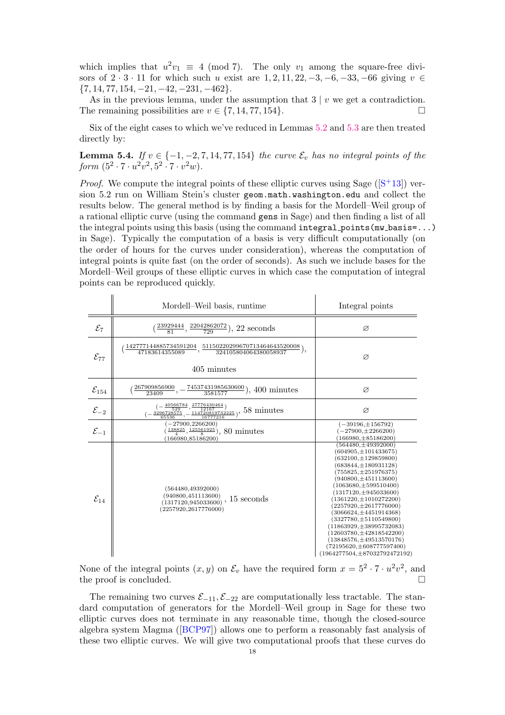which implies that  $u^2v_1 \equiv 4 \pmod{7}$ . The only  $v_1$  among the square-free divisors of  $2 \cdot 3 \cdot 11$  for which such u exist are  $1, 2, 11, 22, -3, -6, -33, -66$  giving  $v \in$  ${7, 14, 77, 154, -21, -42, -231, -462}.$ 

As in the previous lemma, under the assumption that  $3 | v$  we get a contradiction. The remaining possibilities are  $v \in \{7, 14, 77, 154\}.$ 

Six of the eight cases to which we've reduced in Lemmas [5.2](#page-16-0) and [5.3](#page-16-1) are then treated directly by:

<span id="page-17-0"></span>**Lemma 5.4.** If  $v \in \{-1, -2, 7, 14, 77, 154\}$  the curve  $\mathcal{E}_v$  has no integral points of the form  $(5^2 \cdot 7 \cdot u^2v^2, 5^2 \cdot 7 \cdot v^2w)$ .

*Proof.* We compute the integral points of these elliptic curves using Sage  $(|S^+13|)$  version 5.2 run on William Stein's cluster geom.math.washington.edu and collect the results below. The general method is by finding a basis for the Mordell–Weil group of a rational elliptic curve (using the command gens in Sage) and then finding a list of all the integral points using this basis (using the command integral points(mw basis=...) in Sage). Typically the computation of a basis is very difficult computationally (on the order of hours for the curves under consideration), whereas the computation of integral points is quite fast (on the order of seconds). As such we include bases for the Mordell–Weil groups of these elliptic curves in which case the computation of integral points can be reproduced quickly.

 $\overline{1}$ 

 $\overline{1}$ 

|                     | Mordell–Weil basis, runtime                                                                                                                                                            | Integral points                                                                                                                                                                                                                                                                                                                                                                                                                                                                                                                             |
|---------------------|----------------------------------------------------------------------------------------------------------------------------------------------------------------------------------------|---------------------------------------------------------------------------------------------------------------------------------------------------------------------------------------------------------------------------------------------------------------------------------------------------------------------------------------------------------------------------------------------------------------------------------------------------------------------------------------------------------------------------------------------|
| $\mathcal{E}_7$     | $\frac{(23929444}{81}, \frac{22042862072}{729}$ , 22 seconds                                                                                                                           | Ø                                                                                                                                                                                                                                                                                                                                                                                                                                                                                                                                           |
| $\mathcal{E}_{77}$  | $\frac{142777144885734591204}{47183614355089},\frac{51150220299670713464643520008}{324105804064380058937}$<br>405 minutes                                                              | Ø                                                                                                                                                                                                                                                                                                                                                                                                                                                                                                                                           |
| $\mathcal{E}_{154}$ | 267909856900<br>$\frac{74537431985630600}{3581577})$<br>$), 400$ minutes                                                                                                               | Ø                                                                                                                                                                                                                                                                                                                                                                                                                                                                                                                                           |
| $\mathcal{E}_{-2}$  | $\substack{\frac{40566784}{529},\frac{27776430464}{12167}\choose 5728575,\frac{114720819732225}{16777216}\choose 5536},\frac{58\text{ minutes}}{5536}$<br>$-\frac{3296728575}{65536},$ | Ø                                                                                                                                                                                                                                                                                                                                                                                                                                                                                                                                           |
| $\mathcal{E}_{-1}$  | $-27900, 2266200$<br>$\frac{138825}{4}, \frac{125561925}{8}$ , 80 minutes<br>(166980, 85186200)                                                                                        | $(-39196, \pm 156792)$<br>$(-27900, \pm 2266200)$<br>$(166980, \pm 85186200)$                                                                                                                                                                                                                                                                                                                                                                                                                                                               |
| $\mathcal{E}_{14}$  | (564480, 49392000)<br>(940800, 451113600)<br>15 seconds<br>(1317120.945033600)<br>(2257920, 2617776000)                                                                                | $(564480, \pm 49392000)$<br>$(604905, \pm 101433675)$<br>$(632100, \pm 129859800)$<br>$(683844, \pm 180931128)$<br>$(755825, \pm 251976375)$<br>$(940800, \pm 451113600)$<br>$(1063680, \pm 599510400)$<br>$(1317120, \pm 945033600)$<br>$(1361220,\pm 1010272200)$<br>$(2257920, \pm 2617776000)$<br>$(3066624, \pm 4451914368)$<br>$(3327780, \pm 5110549800)$<br>$(11863929, \pm 38995732083)$<br>$(12603780, \pm 42818542200)$<br>$(13848576, \pm 49513570176)$<br>$(72195620, \pm 608777597400)$<br>$(1964277504, \pm 87032792472192)$ |

None of the integral points  $(x, y)$  on  $\mathcal{E}_v$  have the required form  $x = 5^2 \cdot 7 \cdot u^2 v^2$ , and the proof is concluded.

The remaining two curves  $\mathcal{E}_{-11}, \mathcal{E}_{-22}$  are computationally less tractable. The standard computation of generators for the Mordell–Weil group in Sage for these two elliptic curves does not terminate in any reasonable time, though the closed-source algebra system Magma ([\[BCP97\]](#page-22-19)) allows one to perform a reasonably fast analysis of these two elliptic curves. We will give two computational proofs that these curves do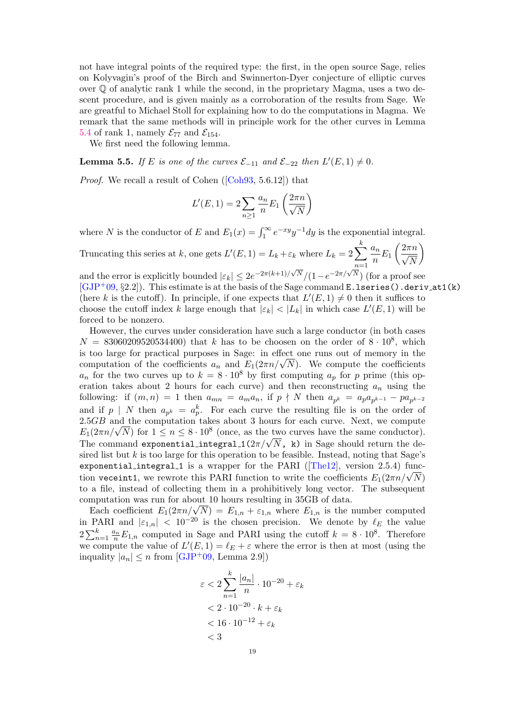not have integral points of the required type: the first, in the open source Sage, relies on Kolyvagin's proof of the Birch and Swinnerton-Dyer conjecture of elliptic curves over  $\mathbb Q$  of analytic rank 1 while the second, in the proprietary Magma, uses a two descent procedure, and is given mainly as a corroboration of the results from Sage. We are greatful to Michael Stoll for explaining how to do the computations in Magma. We remark that the same methods will in principle work for the other curves in Lemma [5.4](#page-17-0) of rank 1, namely  $\mathcal{E}_{77}$  and  $\mathcal{E}_{154}$ .

We first need the following lemma.

<span id="page-18-0"></span>**Lemma 5.5.** If E is one of the curves  $\mathcal{E}_{-11}$  and  $\mathcal{E}_{-22}$  then  $L'(E, 1) \neq 0$ .

Proof. We recall a result of Cohen ([\[Coh93,](#page-22-20) 5.6.12]) that

$$
L'(E, 1) = 2 \sum_{n \ge 1} \frac{a_n}{n} E_1\left(\frac{2\pi n}{\sqrt{N}}\right)
$$

where N is the conductor of E and  $E_1(x) = \int_1^{\infty} e^{-xy} y^{-1} dy$  is the exponential integral.

Truncating this series at k, one gets  $L'(E, 1) = L_k + \varepsilon_k$  where  $L_k = 2 \sum_{k=1}^{k} L_k$ k  $n=1$  $a_n$  $\frac{a_n}{n}E_1\left(\frac{2\pi n}{\sqrt{N}}\right)$ N  $\setminus$ 

and the error is explicitly bounded  $|\varepsilon_k| \leq 2e^{-2\pi(k+1)/\sqrt{N}}/(1-e^{-2\pi/\sqrt{N}})$  (for a proof see  $[GJP+09, §2.2]$  $[GJP+09, §2.2]$ . This estimate is at the basis of the Sage command E.lseries().deriv\_at1(k) (here k is the cutoff). In principle, if one expects that  $L'(E,1) \neq 0$  then it suffices to choose the cutoff index k large enough that  $|\varepsilon_k| < |L_k|$  in which case  $L'(E, 1)$  will be forced to be nonzero.

However, the curves under consideration have such a large conductor (in both cases  $N = 83060209520534400$  that k has to be choosen on the order of  $8 \cdot 10^8$ , which is too large for practical purposes in Sage: in effect one runs out of memory in the is too large for practical purposes in Sage: in effect one runs out of memory in the computation of the coefficients  $a_n$  and  $E_1(2\pi n/\sqrt{N})$ . We compute the coefficients  $a_n$  for the two curves up to  $k = 8 \cdot 10^8$  by first computing  $a_p$  for p prime (this operation takes about 2 hours for each curve) and then reconstructing  $a_n$  using the following: if  $(m, n) = 1$  then  $a_{mn} = a_m a_n$ , if  $p \nmid N$  then  $a_{p^k} = a_p a_{p^{k-1}} - p a_{p^{k-2}}$ and if  $p \mid N$  then  $a_{p^k} = a_p^k$ . For each curve the resulting file is on the order of  $2.5GB$  and the computation takes about 3 hours for each curve. Next, we compute 2.5GB and the computation takes about 3 hours for each curve. Next, we compute  $E_1(2\pi n/\sqrt{N})$  for  $1 \le n \le 8 \cdot 10^8$  (once, as the two curves have the same conductor).  $E_1(2\pi n/\sqrt{N})$  for  $1 \le n \le 8 \cdot 10^{\circ}$  (once, as the two curves have the same conductor).<br>The command exponential integral  $1(2\pi/\sqrt{N}, \kappa)$  in Sage should return the desired list but k is too large for this operation to be feasible. Instead, noting that Sage's exponential integral 1 is a wrapper for the PARI ( $[Theta2]$ , version 2.5.4) funcexponential integral is a wrapper for the PARI ([Ineiz], version 2.5.4) function veceint1, we rewrote this PARI function to write the coefficients  $E_1(2\pi n/\sqrt{N})$ to a file, instead of collecting them in a prohibitively long vector. The subsequent computation was run for about 10 hours resulting in 35GB of data.

mputation was run for about 10 hours resulting in 35GB of data.<br>Each coefficient  $E_1(2\pi n/\sqrt{N}) = E_{1,n} + \varepsilon_{1,n}$  where  $E_{1,n}$  is the number computed in PARI and  $|\varepsilon_{1,n}| < 10^{-20}$  is the chosen precision. We denote by  $\ell_E$  the value  $2\sum_{n=1}^{k} \frac{a_n}{n} E_{1,n}$  computed in Sage and PARI using the cutoff  $k = 8 \cdot 10^8$ . Therefore we compute the value of  $L'(E, 1) = \ell_E + \varepsilon$  where the error is then at most (using the inquality  $|a_n| \leq n$  from [\[GJP](#page-22-21)+09, Lemma 2.9])

$$
\varepsilon < 2 \sum_{n=1}^{k} \frac{|a_n|}{n} \cdot 10^{-20} + \varepsilon_k
$$
\n
$$
< 2 \cdot 10^{-20} \cdot k + \varepsilon_k
$$
\n
$$
< 16 \cdot 10^{-12} + \varepsilon_k
$$
\n
$$
< 3
$$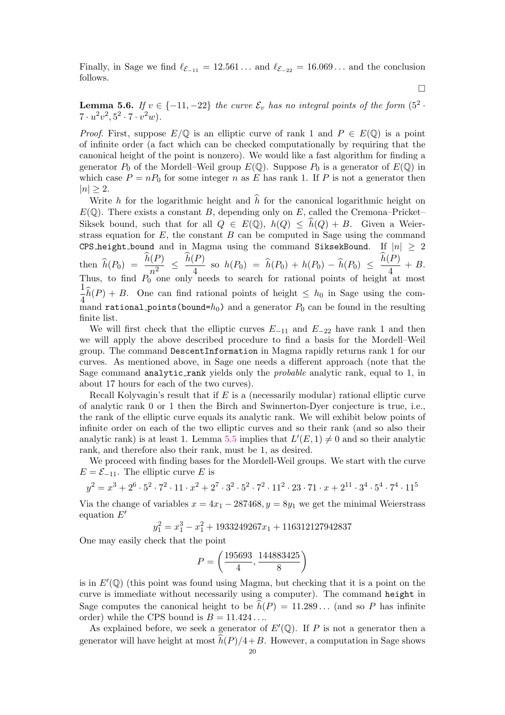Finally, in Sage we find  $\ell_{\mathcal{E}_{-11}} = 12.561...$  and  $\ell_{\mathcal{E}_{-22}} = 16.069...$  and the conclusion follows.

 $\Box$ 

**Lemma 5.6.** If  $v \in \{-11, -22\}$  the curve  $\mathcal{E}_v$  has no integral points of the form  $(5^2 \cdot$  $7 \cdot u^2 v^2, 5^2 \cdot 7 \cdot v^2 w$ .

*Proof.* First, suppose  $E/\mathbb{Q}$  is an elliptic curve of rank 1 and  $P \in E(\mathbb{Q})$  is a point of infinite order (a fact which can be checked computationally by requiring that the canonical height of the point is nonzero). We would like a fast algorithm for finding a generator  $P_0$  of the Mordell–Weil group  $E(\mathbb{Q})$ . Suppose  $P_0$  is a generator of  $E(\mathbb{Q})$  in which case  $P = nP_0$  for some integer n as E has rank 1. If P is not a generator then  $|n| \geq 2$ .

Write h for the logarithmic height and  $\hat{h}$  for the canonical logarithmic height on  $E(\mathbb{Q})$ . There exists a constant B, depending only on E, called the Cremona–Pricket– Siksek bound, such that for all  $Q \in E(\mathbb{Q})$ ,  $h(Q) \leq h(Q) + B$ . Given a Weierstrass equation for  $E$ , the constant  $B$  can be computed in Sage using the command CPS height bound and in Magma using the command SiksekBound. If  $|n| \geq 2$ then  $\widehat{h}(P_0) = \frac{h(P)}{n^2}$  $\frac{P(P)}{n^2} \leq \frac{h(P)}{4}$  $\frac{(P)}{4}$  so  $h(P_0) = \hat{h}(P_0) + h(P_0) - \hat{h}(P_0) \leq \frac{h(P)}{4}$  $\frac{1}{4} + B$ . Thus, to find  $P_0$  one only needs to search for rational points of height at most 1  $\frac{1}{4}h(P) + B$ . One can find rational points of height  $\leq h_0$  in Sage using the command rational points (bound= $h_0$ ) and a generator  $P_0$  can be found in the resulting finite list.

We will first check that the elliptic curves  $E_{-11}$  and  $E_{-22}$  have rank 1 and then we will apply the above described procedure to find a basis for the Mordell–Weil group. The command DescentInformation in Magma rapidly returns rank 1 for our curves. As mentioned above, in Sage one needs a different approach (note that the Sage command analytic rank yields only the *probable* analytic rank, equal to 1, in about 17 hours for each of the two curves).

Recall Kolyvagin's result that if  $E$  is a (necessarily modular) rational elliptic curve of analytic rank 0 or 1 then the Birch and Swinnerton-Dyer conjecture is true, i.e., the rank of the elliptic curve equals its analytic rank. We will exhibit below points of infinite order on each of the two elliptic curves and so their rank (and so also their analytic rank) is at least 1. Lemma [5.5](#page-18-0) implies that  $L'(E, 1) \neq 0$  and so their analytic rank, and therefore also their rank, must be 1, as desired.

We proceed with finding bases for the Mordell-Weil groups. We start with the curve  $E = \mathcal{E}_{-11}$ . The elliptic curve E is

$$
y^2 = x^3 + 2^6 \cdot 5^2 \cdot 7^2 \cdot 11 \cdot x^2 + 2^7 \cdot 3^2 \cdot 5^2 \cdot 7^2 \cdot 11^2 \cdot 23 \cdot 71 \cdot x + 2^{11} \cdot 3^4 \cdot 5^4 \cdot 7^4 \cdot 11^5
$$

Via the change of variables  $x = 4x_1 - 287468$ ,  $y = 8y_1$  we get the minimal Weierstrass equation  $E'$ 

$$
y_1^2 = x_1^3 - x_1^2 + 1933249267x_1 + 116312127942837
$$

One may easily check that the point

$$
P = \left(\frac{195693}{4}, \frac{144883425}{8}\right)
$$

is in  $E'(\mathbb{Q})$  (this point was found using Magma, but checking that it is a point on the curve is immediate without necessarily using a computer). The command height in Sage computes the canonical height to be  $\hat{h}(P) = 11.289...$  (and so P has infinite order) while the CPS bound is  $B = 11.424...$ 

As explained before, we seek a generator of  $E'(\mathbb{Q})$ . If P is not a generator then a generator will have height at most  $\overline{h}(P)/4+B$ . However, a computation in Sage shows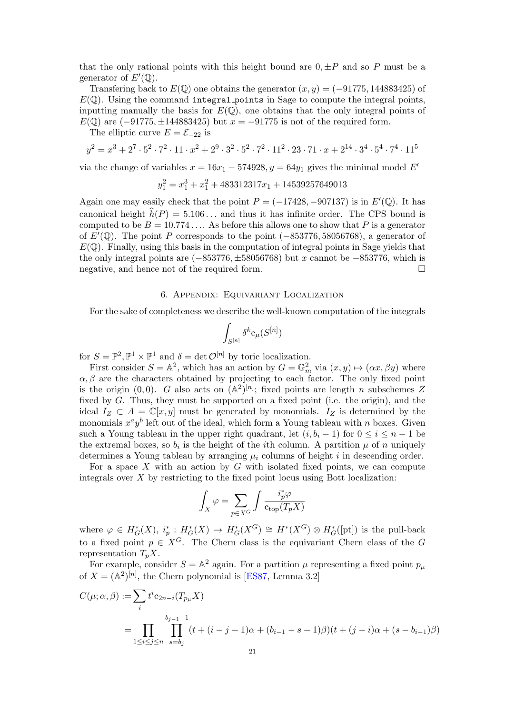that the only rational points with this height bound are  $0, \pm P$  and so P must be a generator of  $E'(\mathbb{Q})$ .

Transfering back to  $E(\mathbb{Q})$  one obtains the generator  $(x, y) = (-91775, 144883425)$  of  $E(\mathbb{Q})$ . Using the command integral points in Sage to compute the integral points, inputting manually the basis for  $E(\mathbb{Q})$ , one obtains that the only integral points of  $E(\mathbb{Q})$  are  $(-91775, \pm 144883425)$  but  $x = -91775$  is not of the required form.

The elliptic curve  $E = \mathcal{E}_{-22}$  is

$$
y^2 = x^3 + 2^7 \cdot 5^2 \cdot 7^2 \cdot 11 \cdot x^2 + 2^9 \cdot 3^2 \cdot 5^2 \cdot 7^2 \cdot 11^2 \cdot 23 \cdot 71 \cdot x + 2^{14} \cdot 3^4 \cdot 5^4 \cdot 7^4 \cdot 11^5
$$

via the change of variables  $x = 16x_1 - 574928$ ,  $y = 64y_1$  gives the minimal model E'

$$
y_1^2 = x_1^3 + x_1^2 + 483312317x_1 + 14539257649013
$$

Again one may easily check that the point  $P = (-17428, -907137)$  is in  $E'(\mathbb{Q})$ . It has canonical height  $\hat{h}(P) = 5.106...$  and thus it has infinite order. The CPS bound is computed to be  $B = 10.774...$  As before this allows one to show that P is a generator of  $E'(\mathbb{Q})$ . The point P corresponds to the point (-853776, 58056768), a generator of  $E(\mathbb{Q})$ . Finally, using this basis in the computation of integral points in Sage yields that the only integral points are  $(-853776, \pm 58056768)$  but x cannot be  $-853776$ , which is negative, and hence not of the required form.

# 6. Appendix: Equivariant Localization

For the sake of completeness we describe the well-known computation of the integrals

$$
\int_{S^{[n]}} \delta^k \mathsf{c}_{\mu}(S^{[n]})
$$

for  $S = \mathbb{P}^2, \mathbb{P}^1 \times \mathbb{P}^1$  and  $\delta = \det \mathcal{O}^{[n]}$  by toric localization.

First consider  $S = \mathbb{A}^2$ , which has an action by  $G = \mathbb{G}_m^2$  via  $(x, y) \mapsto (\alpha x, \beta y)$  where  $\alpha, \beta$  are the characters obtained by projecting to each factor. The only fixed point is the origin  $(0,0)$ . G also acts on  $(A^2)^{[n]}$ ; fixed points are length n subschemes Z fixed by G. Thus, they must be supported on a fixed point (i.e. the origin), and the ideal  $I_Z \subset A = \mathbb{C}[x, y]$  must be generated by monomials.  $I_Z$  is determined by the monomials  $x^a y^b$  left out of the ideal, which form a Young tableau with n boxes. Given such a Young tableau in the upper right quadrant, let  $(i, b_i - 1)$  for  $0 \le i \le n - 1$  be the extremal boxes, so  $b_i$  is the height of the *i*th column. A partition  $\mu$  of n uniquely determines a Young tableau by arranging  $\mu_i$  columns of height i in descending order.

For a space  $X$  with an action by  $G$  with isolated fixed points, we can compute integrals over  $X$  by restricting to the fixed point locus using Bott localization:

$$
\int_X \varphi = \sum_{p \in X^G} \int \frac{i_p^* \varphi}{\operatorname{c}_{\operatorname{top}}(T_p X)}
$$

where  $\varphi \in H^*_G(X), i_p^*: H^*_G(X) \to H^*_G(X^G) \cong H^*(X^G) \otimes H^*_G([pt])$  is the pull-back to a fixed point  $p \in X^G$ . The Chern class is the equivariant Chern class of the G representation  $T_pX$ .

For example, consider  $S = \mathbb{A}^2$  again. For a partition  $\mu$  representing a fixed point  $p_{\mu}$ of  $X = (A^2)^{[n]}$ , the Chern polynomial is [\[ES87,](#page-22-22) Lemma 3.2]

$$
C(\mu; \alpha, \beta) := \sum_{i} t^{i} c_{2n-i}(T_{p_{\mu}} X)
$$
  
= 
$$
\prod_{1 \leq i \leq j \leq n} \prod_{s=b_{j}}^{b_{j-1}-1} (t + (i-j-1)\alpha + (b_{i-1}-s-1)\beta)(t + (j-i)\alpha + (s-b_{i-1})\beta)
$$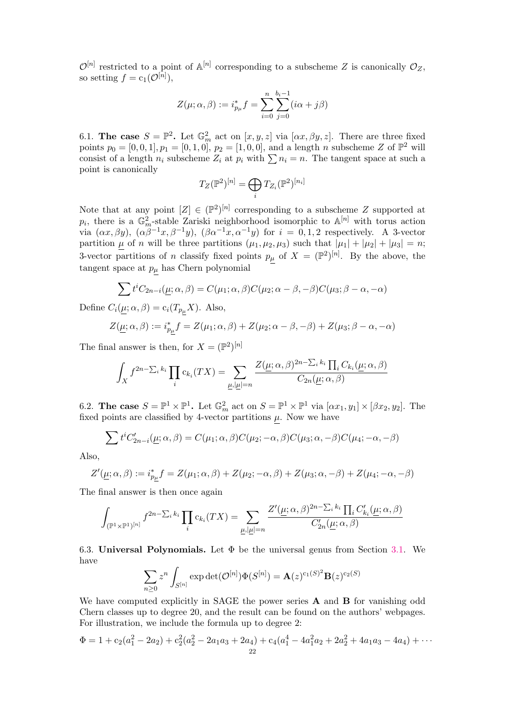$\mathcal{O}^{[n]}$  restricted to a point of  $\mathbb{A}^{[n]}$  corresponding to a subscheme Z is canonically  $\mathcal{O}_Z$ , so setting  $f = c_1(\mathcal{O}^{[n]}),$ 

$$
Z(\mu; \alpha, \beta) := i_{p_{\mu}}^{*} f = \sum_{i=0}^{n} \sum_{j=0}^{b_{i}-1} (i\alpha + j\beta)
$$

6.1. The case  $S = \mathbb{P}^2$ . Let  $\mathbb{G}_m^2$  act on  $[x, y, z]$  via  $[\alpha x, \beta y, z]$ . There are three fixed points  $p_0 = [0, 0, 1], p_1 = [0, 1, 0], p_2 = [1, 0, 0],$  and a length n subscheme Z of  $\mathbb{P}^2$  will consist of a length  $n_i$  subscheme  $Z_i$  at  $p_i$  with  $\sum n_i = n$ . The tangent space at such a point is canonically

$$
T_Z(\mathbb{P}^2)^{[n]} = \bigoplus_i T_{Z_i}(\mathbb{P}^2)^{[n_i]}
$$

Note that at any point  $[Z] \in (\mathbb{P}^2)^{[n]}$  corresponding to a subscheme Z supported at  $p_i$ , there is a  $\mathbb{G}_m^2$ -stable Zariski neighborhood isomorphic to  $\mathbb{A}^{[n]}$  with torus action via  $(\alpha x, \beta y)$ ,  $(\alpha \beta^{-1} x, \beta^{-1} y)$ ,  $(\beta \alpha^{-1} x, \alpha^{-1} y)$  for  $i = 0, 1, 2$  respectively. A 3-vector partition  $\mu$  of n will be three partitions  $(\mu_1, \mu_2, \mu_3)$  such that  $|\mu_1| + |\mu_2| + |\mu_3| = n$ ; 3-vector partitions of n classify fixed points  $p_\mu$  of  $X = (\mathbb{P}^2)^{[n]}$ . By the above, the tangent space at  $p_{\mu}$  has Chern polynomial

$$
\sum t^i C_{2n-i}(\underline{\mu}; \alpha, \beta) = C(\mu_1; \alpha, \beta) C(\mu_2; \alpha - \beta, -\beta) C(\mu_3; \beta - \alpha, -\alpha)
$$

Define  $C_i(\mu; \alpha, \beta) = c_i(T_{p_\mu}X)$ . Also,

$$
Z(\underline{\mu}; \alpha, \beta) := i_{p\underline{\mu}}^* f = Z(\mu_1; \alpha, \beta) + Z(\mu_2; \alpha - \beta, -\beta) + Z(\mu_3; \beta - \alpha, -\alpha)
$$

The final answer is then, for  $X = (\mathbb{P}^2)^{[n]}$ 

$$
\int_X f^{2n-\sum_i k_i} \prod_i c_{k_i}(TX) = \sum_{\underline{\mu}, |\underline{\mu}|=n} \frac{Z(\underline{\mu}; \alpha, \beta)^{2n-\sum_i k_i} \prod_i C_{k_i}(\underline{\mu}; \alpha, \beta)}{C_{2n}(\underline{\mu}; \alpha, \beta)}
$$

6.2. The case  $S = \mathbb{P}^1 \times \mathbb{P}^1$ . Let  $\mathbb{G}_m^2$  act on  $S = \mathbb{P}^1 \times \mathbb{P}^1$  via  $[\alpha x_1, y_1] \times [\beta x_2, y_2]$ . The fixed points are classified by 4-vector partitions  $\mu$ . Now we have

$$
\sum t^i C'_{2n-i}(\underline{\mu}; \alpha, \beta) = C(\mu_1; \alpha, \beta) C(\mu_2; -\alpha, \beta) C(\mu_3; \alpha, -\beta) C(\mu_4; -\alpha, -\beta)
$$

Also,

$$
Z'(\underline{\mu}; \alpha, \beta) := i_{p\underline{\mu}}^* f = Z(\mu_1; \alpha, \beta) + Z(\mu_2; -\alpha, \beta) + Z(\mu_3; \alpha, -\beta) + Z(\mu_4; -\alpha, -\beta)
$$

The final answer is then once again

$$
\int_{(\mathbb{P}^1 \times \mathbb{P}^1)^{[n]}} f^{2n - \sum_i k_i} \prod_i c_{k_i}(TX) = \sum_{\underline{\mu}, |\underline{\mu}| = n} \frac{Z'(\underline{\mu}; \alpha, \beta)^{2n - \sum_i k_i} \prod_i C'_{k_i}(\underline{\mu}; \alpha, \beta)}{C'_{2n}(\underline{\mu}; \alpha, \beta)}
$$

6.3. Universal Polynomials. Let  $\Phi$  be the universal genus from Section [3.1.](#page-8-3) We have

$$
\sum_{n\geq 0} z^n \int_{S^{[n]}} \exp\det(\mathcal{O}^{[n]})\Phi(S^{[n]}) = \mathbf{A}(z)^{c_1(S)^2}\mathbf{B}(z)^{c_2(S)}
$$

We have computed explicitly in SAGE the power series **A** and **B** for vanishing odd Chern classes up to degree 20, and the result can be found on the authors' webpages. For illustration, we include the formula up to degree 2:

$$
\Phi = 1 + c_2(a_1^2 - 2a_2) + c_2^2(a_2^2 - 2a_1a_3 + 2a_4) + c_4(a_1^4 - 4a_1^2a_2 + 2a_2^2 + 4a_1a_3 - 4a_4) + \cdots
$$
  
<sub>22</sub>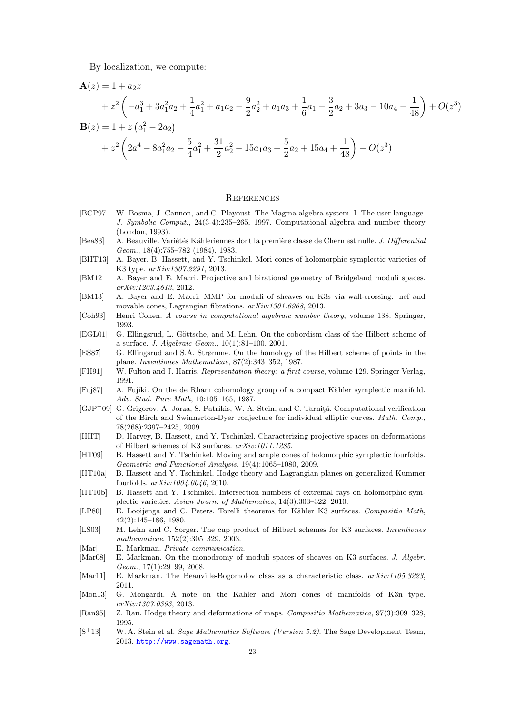By localization, we compute:

$$
\mathbf{A}(z) = 1 + a_2 z
$$
  
+  $z^2 \left( -a_1^3 + 3a_1^2 a_2 + \frac{1}{4} a_1^2 + a_1 a_2 - \frac{9}{2} a_2^2 + a_1 a_3 + \frac{1}{6} a_1 - \frac{3}{2} a_2 + 3a_3 - 10a_4 - \frac{1}{48} \right) + O(z^3)$   

$$
\mathbf{B}(z) = 1 + z \left( a_1^2 - 2a_2 \right)
$$
  
+  $z^2 \left( 2a_1^4 - 8a_1^2 a_2 - \frac{5}{4} a_1^2 + \frac{31}{2} a_2^2 - 15a_1 a_3 + \frac{5}{2} a_2 + 15a_4 + \frac{1}{48} \right) + O(z^3)$ 

### **REFERENCES**

- <span id="page-22-19"></span>[BCP97] W. Bosma, J. Cannon, and C. Playoust. The Magma algebra system. I. The user language. J. Symbolic Comput., 24(3-4):235–265, 1997. Computational algebra and number theory (London, 1993).
- <span id="page-22-0"></span>[Bea83] A. Beauville. Variétés Kähleriennes dont la première classe de Chern est nulle. J. Differential Geom., 18(4):755–782 (1984), 1983.
- <span id="page-22-4"></span>[BHT13] A. Bayer, B. Hassett, and Y. Tschinkel. Mori cones of holomorphic symplectic varieties of K3 type. arXiv:1307.2291, 2013.
- <span id="page-22-8"></span>[BM12] A. Bayer and E. Macri. Projective and birational geometry of Bridgeland moduli spaces. arXiv:1203.4613, 2012.
- <span id="page-22-3"></span>[BM13] A. Bayer and E. Macri. MMP for moduli of sheaves on K3s via wall-crossing: nef and movable cones, Lagrangian fibrations. arXiv:1301.6968, 2013.
- <span id="page-22-20"></span>[Coh93] Henri Cohen. A course in computational algebraic number theory, volume 138. Springer, 1993.
- <span id="page-22-16"></span>[EGL01] G. Ellingsrud, L. Göttsche, and M. Lehn. On the cobordism class of the Hilbert scheme of a surface. J. Algebraic Geom., 10(1):81–100, 2001.
- <span id="page-22-22"></span>[ES87] G. Ellingsrud and S.A. Strømme. On the homology of the Hilbert scheme of points in the plane. Inventiones Mathematicae, 87(2):343–352, 1987.
- <span id="page-22-15"></span>[FH91] W. Fulton and J. Harris. Representation theory: a first course, volume 129. Springer Verlag, 1991.
- <span id="page-22-17"></span>[Fuj87] A. Fujiki. On the de Rham cohomology group of a compact Kähler symplectic manifold. Adv. Stud. Pure Math, 10:105–165, 1987.
- <span id="page-22-21"></span> $[GJP^+09]$  G. Grigorov, A. Jorza, S. Patrikis, W. A. Stein, and C. Tarnită. Computational verification of the Birch and Swinnerton-Dyer conjecture for individual elliptic curves. Math. Comp., 78(268):2397–2425, 2009.
- <span id="page-22-9"></span>[HHT] D. Harvey, B. Hassett, and Y. Tschinkel. Characterizing projective spaces on deformations of Hilbert schemes of K3 surfaces. arXiv:1011.1285.
- <span id="page-22-6"></span>[HT09] B. Hassett and Y. Tschinkel. Moving and ample cones of holomorphic symplectic fourfolds. Geometric and Functional Analysis, 19(4):1065–1080, 2009.
- <span id="page-22-10"></span>[HT10a] B. Hassett and Y. Tschinkel. Hodge theory and Lagrangian planes on generalized Kummer fourfolds. arXiv:1004.0046, 2010.
- <span id="page-22-2"></span>[HT10b] B. Hassett and Y. Tschinkel. Intersection numbers of extremal rays on holomorphic symplectic varieties. Asian Journ. of Mathematics, 14(3):303–322, 2010.
- <span id="page-22-1"></span>[LP80] E. Looijenga and C. Peters. Torelli theorems for Kähler K3 surfaces. Compositio Math, 42(2):145–186, 1980.
- <span id="page-22-14"></span>[LS03] M. Lehn and C. Sorger. The cup product of Hilbert schemes for K3 surfaces. Inventiones mathematicae, 152(2):305–329, 2003.

<span id="page-22-7"></span>[Mar] E. Markman. Private communication.

- <span id="page-22-11"></span>[Mar08] E. Markman. On the monodromy of moduli spaces of sheaves on K3 surfaces. J. Algebr. Geom., 17(1):29–99, 2008.
- <span id="page-22-12"></span>[Mar11] E. Markman. The Beauville-Bogomolov class as a characteristic class.  $arXiv:1105.3223$ , 2011.
- <span id="page-22-5"></span>[Mon13] G. Mongardi. A note on the Kähler and Mori cones of manifolds of K3n type. arXiv:1307.0393, 2013.
- <span id="page-22-13"></span>[Ran95] Z. Ran. Hodge theory and deformations of maps. Compositio Mathematica, 97(3):309–328, 1995.
- <span id="page-22-18"></span> $[S<sup>+</sup>13]$  W. A. Stein et al. *Sage Mathematics Software (Version 5.2)*. The Sage Development Team, 2013. <http://www.sagemath.org>.